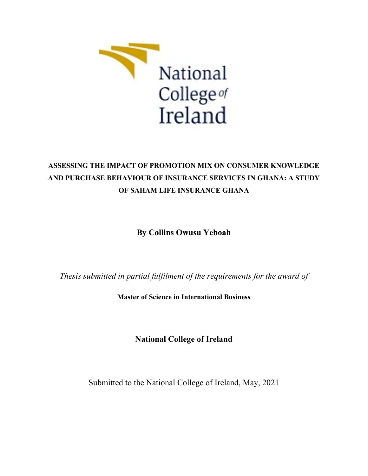

# **ASSESSING THE IMPACT OF PROMOTION MIX ON CONSUMER KNOWLEDGE AND PURCHASE BEHAVIOUR OF INSURANCE SERVICES IN GHANA: A STUDY OF SAHAM LIFE INSURANCE GHANA**

**By Collins Owusu Yeboah**

*Thesis submitted in partial fulfilment of the requirements for the award of*

**Master of Science in International Business**

**National College of Ireland**

Submitted to the National College of Ireland, May, 2021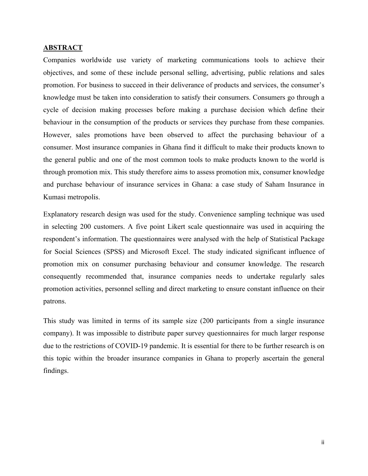#### **ABSTRACT**

Companies worldwide use variety of marketing communications tools to achieve their objectives, and some of these include personal selling, advertising, public relations and sales promotion. For business to succeed in their deliverance of products and services, the consumer's knowledge must be taken into consideration to satisfy their consumers. Consumers go through a cycle of decision making processes before making a purchase decision which define their behaviour in the consumption of the products or services they purchase from these companies. However, sales promotions have been observed to affect the purchasing behaviour of a consumer. Most insurance companies in Ghana find it difficult to make their products known to the general public and one of the most common tools to make products known to the world is through promotion mix. This study therefore aims to assess promotion mix, consumer knowledge and purchase behaviour of insurance services in Ghana: a case study of Saham Insurance in Kumasi metropolis.

Explanatory research design was used for the study. Convenience sampling technique was used in selecting 200 customers. A five point Likert scale questionnaire was used in acquiring the respondent's information. The questionnaires were analysed with the help of Statistical Package for Social Sciences (SPSS) and Microsoft Excel. The study indicated significant influence of promotion mix on consumer purchasing behaviour and consumer knowledge. The research consequently recommended that, insurance companies needs to undertake regularly sales promotion activities, personnel selling and direct marketing to ensure constant influence on their patrons.

This study was limited in terms of its sample size (200 participants from a single insurance company). It was impossible to distribute paper survey questionnaires for much larger response due to the restrictions of COVID-19 pandemic. It is essential for there to be further research is on this topic within the broader insurance companies in Ghana to properly ascertain the general findings.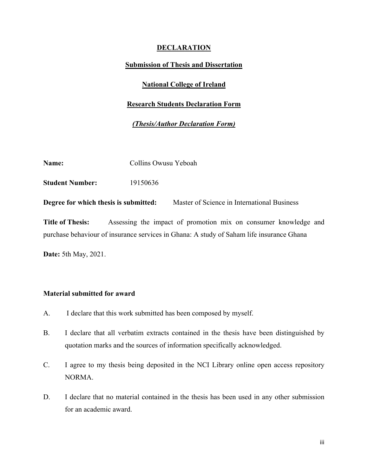### **DECLARATION**

### **Submission of Thesis and Dissertation**

### **National College of Ireland**

### **Research Students Declaration Form**

### *(Thesis/Author Declaration Form)*

| Name:                                 | Collins Owusu Yeboah |                                             |
|---------------------------------------|----------------------|---------------------------------------------|
| <b>Student Number:</b>                | 19150636             |                                             |
| Degree for which thesis is submitted: |                      | Master of Science in International Business |

**Title of Thesis:** Assessing the impact of promotion mix on consumer knowledge and purchase behaviour of insurance services in Ghana: A study of Saham life insurance Ghana

**Date:** 5th May, 2021.

### **Material submitted for award**

- A. I declare that this work submitted has been composed by myself.
- B. I declare that all verbatim extracts contained in the thesis have been distinguished by quotation marks and the sources of information specifically acknowledged.
- C. I agree to my thesis being deposited in the NCI Library online open access repository NORMA.
- D. I declare that no material contained in the thesis has been used in any other submission for an academic award.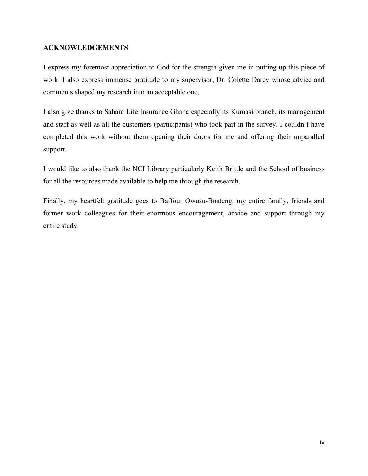### **ACKNOWLEDGEMENTS**

I express my foremost appreciation to God for the strength given me in putting up this piece of work. I also express immense gratitude to my supervisor, Dr. Colette Darcy whose advice and comments shaped my research into an acceptable one.

I also give thanks to Saham Life Insurance Ghana especially its Kumasi branch, its management and staff as well as all the customers (participants) who took part in the survey. I couldn't have completed this work without them opening their doors for me and offering their unparalled support.

I would like to also thank the NCI Library particularly Keith Brittle and the School of business for all the resources made available to help me through the research.

Finally, my heartfelt gratitude goes to Baffour Owusu-Boateng, my entire family, friends and former work colleagues for their enormous encouragement, advice and support through my entire study.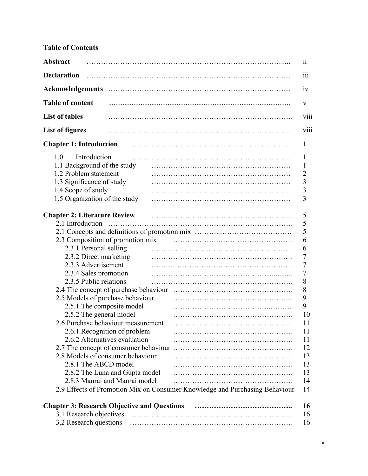# **Table of Contents**

| <b>Abstract</b>                                    |                                                                             | 11             |
|----------------------------------------------------|-----------------------------------------------------------------------------|----------------|
| <b>Declaration</b>                                 |                                                                             | 111            |
|                                                    |                                                                             | 1V             |
| <b>Table of content</b>                            |                                                                             | V              |
| <b>List of tables</b>                              |                                                                             | V111           |
| <b>List of figures</b>                             |                                                                             | V111           |
| <b>Chapter 1: Introduction</b>                     |                                                                             | 1              |
| 1.0<br>Introduction                                |                                                                             | 1              |
| 1.1 Background of the study                        |                                                                             | $\mathbf{l}$   |
| 1.2 Problem statement                              |                                                                             | $\overline{c}$ |
| 1.3 Significance of study                          |                                                                             | 3              |
| 1.4 Scope of study                                 |                                                                             | 3              |
| 1.5 Organization of the study                      |                                                                             | 3              |
| <b>Chapter 2: Literature Review</b>                |                                                                             | 5              |
| 2.1 Introduction                                   |                                                                             | 5              |
|                                                    |                                                                             | 5              |
| 2.3 Composition of promotion mix                   |                                                                             | 6              |
| 2.3.1 Personal selling                             |                                                                             | 6              |
| 2.3.2 Direct marketing                             |                                                                             | 7              |
| 2.3.3 Advertisement                                |                                                                             | 7              |
| 2.3.4 Sales promotion                              |                                                                             | 7              |
| 2.3.5 Public relations                             |                                                                             | 8              |
| 2.4 The concept of purchase behaviour              |                                                                             | 8              |
| 2.5 Models of purchase behaviour                   |                                                                             | 9              |
| 2.5.1 The composite model                          |                                                                             | 9              |
| 2.5.2 The general model                            |                                                                             | 10             |
| 2.6 Purchase behaviour measurement                 |                                                                             | 11             |
| 2.6.1 Recognition of problem                       |                                                                             | 11             |
| 2.6.2 Alternatives evaluation                      |                                                                             | 11             |
|                                                    |                                                                             | 12             |
| 2.8 Models of consumer behaviour                   |                                                                             | 13             |
| 2.8.1 The ABCD model                               |                                                                             | 13             |
| 2.8.2 The Luna and Gupta model                     |                                                                             | 13             |
| 2.8.3 Manrai and Manrai model                      |                                                                             | 14             |
|                                                    | 2.9 Effects of Promotion Mix on Consumer Knowledge and Purchasing Behaviour | 14             |
| <b>Chapter 3: Research Objective and Questions</b> |                                                                             | 16             |
| 3.1 Research objectives                            |                                                                             | 16             |
|                                                    |                                                                             |                |
| 3.2 Research questions                             |                                                                             | 16             |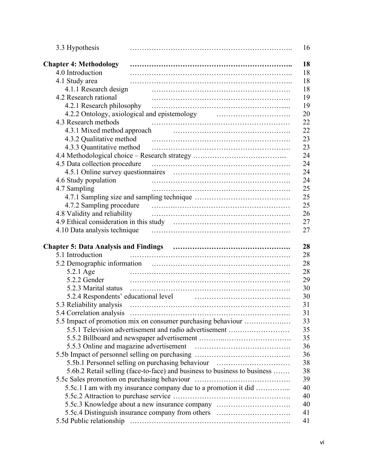| 3.3 Hypothesis                                                   |                                                                                                               |
|------------------------------------------------------------------|---------------------------------------------------------------------------------------------------------------|
| <b>Chapter 4: Methodology</b>                                    |                                                                                                               |
| 4.0 Introduction                                                 |                                                                                                               |
| 4.1 Study area                                                   |                                                                                                               |
| 4.1.1 Research design                                            |                                                                                                               |
| 4.2 Research rational                                            |                                                                                                               |
| 4.2.1 Research philosophy                                        |                                                                                                               |
|                                                                  | 4.2.2 Ontology, axiological and epistemology manufactured and example in the set of the set of the set of the |
| 4.3 Research methods                                             |                                                                                                               |
| 4.3.1 Mixed method approach                                      |                                                                                                               |
| 4.3.2 Qualitative method                                         |                                                                                                               |
| 4.3.3 Quantitative method                                        |                                                                                                               |
|                                                                  |                                                                                                               |
| 4.5 Data collection procedure                                    |                                                                                                               |
|                                                                  |                                                                                                               |
|                                                                  |                                                                                                               |
| 4.6 Study population                                             |                                                                                                               |
| 4.7 Sampling                                                     |                                                                                                               |
|                                                                  |                                                                                                               |
| 4.7.2 Sampling procedure                                         |                                                                                                               |
| 4.8 Validity and reliability                                     |                                                                                                               |
|                                                                  |                                                                                                               |
|                                                                  |                                                                                                               |
|                                                                  |                                                                                                               |
| <b>Chapter 5: Data Analysis and Findings</b><br>5.1 Introduction |                                                                                                               |
|                                                                  |                                                                                                               |
|                                                                  |                                                                                                               |
| 5.2.1 Age                                                        |                                                                                                               |
| 5.2.2 Gender                                                     |                                                                                                               |
| 5.2.3 Marital status                                             |                                                                                                               |
| 5.2.4 Respondents' educational level                             |                                                                                                               |
| 5.3 Reliability analysis                                         |                                                                                                               |
|                                                                  |                                                                                                               |
|                                                                  |                                                                                                               |
|                                                                  | 5.5 Impact of promotion mix on consumer purchasing behaviour                                                  |
|                                                                  | 5.5.1 Television advertisement and radio advertisement                                                        |
|                                                                  |                                                                                                               |
|                                                                  |                                                                                                               |
|                                                                  |                                                                                                               |
|                                                                  |                                                                                                               |
|                                                                  | 5.5b.1 Personnel selling on purchasing behaviour                                                              |
|                                                                  | 5.6b.2 Retail selling (face-to-face) and business to business to business                                     |
|                                                                  |                                                                                                               |
|                                                                  | 5.5c.1 I am with my insurance company due to a promotion it did                                               |
|                                                                  |                                                                                                               |
|                                                                  | 5.5c.3 Knowledge about a new insurance company<br>5.5c.4 Distinguish insurance company from others            |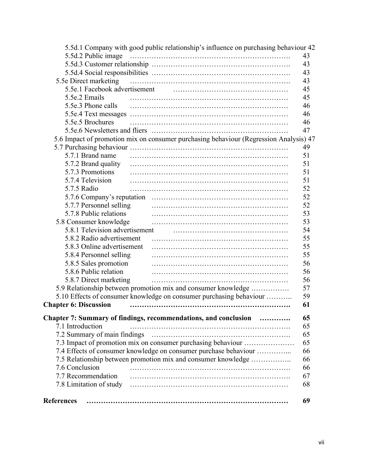|                                | 5.5d.1 Company with good public relationship's influence on purchasing behaviour 42   |    |
|--------------------------------|---------------------------------------------------------------------------------------|----|
|                                |                                                                                       | 43 |
|                                |                                                                                       | 43 |
|                                |                                                                                       | 43 |
| 5.5e Direct marketing          |                                                                                       | 43 |
|                                |                                                                                       | 45 |
| 5.5e.2 Emails                  |                                                                                       | 45 |
| 5.5e.3 Phone calls             |                                                                                       | 46 |
|                                |                                                                                       | 46 |
| 5.5e.5 Brochures               |                                                                                       | 46 |
|                                |                                                                                       | 47 |
|                                | 5.6 Impact of promotion mix on consumer purchasing behaviour (Regression Analysis) 47 |    |
|                                |                                                                                       | 49 |
| 5.7.1 Brand name               |                                                                                       | 51 |
| 5.7.2 Brand quality            |                                                                                       | 51 |
| 5.7.3 Promotions               |                                                                                       | 51 |
| 5.7.4 Television               |                                                                                       | 51 |
| 5.7.5 Radio                    |                                                                                       | 52 |
|                                |                                                                                       | 52 |
| 5.7.7 Personnel selling        |                                                                                       | 52 |
| 5.7.8 Public relations         |                                                                                       | 53 |
| 5.8 Consumer knowledge         |                                                                                       | 53 |
| 5.8.1 Television advertisement |                                                                                       | 54 |
| 5.8.2 Radio advertisement      |                                                                                       | 55 |
| 5.8.3 Online advertisement     |                                                                                       | 55 |
| 5.8.4 Personnel selling        |                                                                                       | 55 |
| 5.8.5 Sales promotion          |                                                                                       | 56 |
| 5.8.6 Public relation          |                                                                                       | 56 |
| 5.8.7 Direct marketing         |                                                                                       | 56 |
|                                | 5.9 Relationship between promotion mix and consumer knowledge                         | 57 |
|                                | 5.10 Effects of consumer knowledge on consumer purchasing behaviour                   | 59 |
| <b>Chapter 6: Discussion</b>   |                                                                                       | 61 |
|                                |                                                                                       |    |
|                                | Chapter 7: Summary of findings, recommendations, and conclusion                       | 65 |
| 7.1 Introduction               |                                                                                       | 65 |
|                                |                                                                                       | 65 |
|                                | 7.3 Impact of promotion mix on consumer purchasing behaviour                          | 65 |
|                                | 7.4 Effects of consumer knowledge on consumer purchase behaviour                      | 66 |
|                                | 7.5 Relationship between promotion mix and consumer knowledge                         | 66 |
| 7.6 Conclusion                 |                                                                                       | 66 |
| 7.7 Recommendation             |                                                                                       | 67 |
| 7.8 Limitation of study        |                                                                                       | 68 |
| <b>References</b>              |                                                                                       | 69 |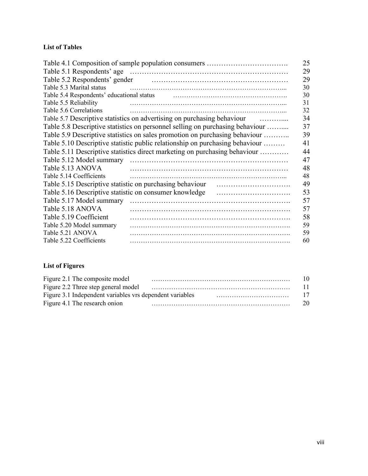### **List of Tables**

|                                                          |                                                                               | 25 |
|----------------------------------------------------------|-------------------------------------------------------------------------------|----|
|                                                          |                                                                               | 29 |
|                                                          |                                                                               | 29 |
| Table 5.3 Marital status                                 |                                                                               | 30 |
| Table 5.4 Respondents' educational status                |                                                                               | 30 |
| Table 5.5 Reliability                                    |                                                                               | 31 |
| Table 5.6 Correlations                                   |                                                                               | 32 |
|                                                          | Table 5.7 Descriptive statistics on advertising on purchasing behaviour<br>.  | 34 |
|                                                          | Table 5.8 Descriptive statistics on personnel selling on purchasing behaviour | 37 |
|                                                          | Table 5.9 Descriptive statistics on sales promotion on purchasing behaviour   | 39 |
|                                                          | Table 5.10 Descriptive statistic public relationship on purchasing behaviour  | 41 |
|                                                          | Table 5.11 Descriptive statistics direct marketing on purchasing behaviour    | 44 |
| Table 5.12 Model summary                                 |                                                                               | 47 |
| Table 5.13 ANOVA                                         |                                                                               | 48 |
| Table 5.14 Coefficients                                  |                                                                               | 48 |
| Table 5.15 Descriptive statistic on purchasing behaviour |                                                                               | 49 |
| Table 5.16 Descriptive statistic on consumer knowledge   |                                                                               | 53 |
| Table 5.17 Model summary                                 |                                                                               | 57 |
| Table 5.18 ANOVA                                         |                                                                               | 57 |
| Table 5.19 Coefficient                                   |                                                                               | 58 |
| Table 5.20 Model summary                                 |                                                                               | 59 |
| Table 5.21 ANOVA                                         |                                                                               | 59 |
| Table 5.22 Coefficients                                  |                                                                               | 60 |

## **List of Figures**

| Figure 2.1 The composite model |                                                                                | 10. |
|--------------------------------|--------------------------------------------------------------------------------|-----|
|                                |                                                                                | 11. |
|                                | Figure 3.1 Independent variables vrs dependent variables <i>materialism</i> 17 |     |
| Figure 4.1 The research onion  |                                                                                | 20  |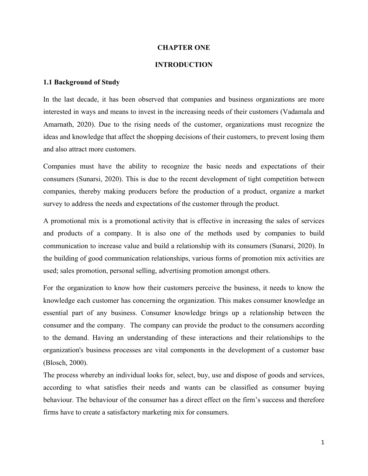### **CHAPTER ONE**

### **INTRODUCTION**

### **1.1 Background of Study**

In the last decade, it has been observed that companies and business organizations are more interested in ways and means to invest in the increasing needs of their customers (Vadamala and Amarnath, 2020). Due to the rising needs of the customer, organizations must recognize the ideas and knowledge that affect the shopping decisions of their customers, to prevent losing them and also attract more customers.

Companies must have the ability to recognize the basic needs and expectations of their consumers (Sunarsi, 2020). This is due to the recent development of tight competition between companies, thereby making producers before the production of a product, organize a market survey to address the needs and expectations of the customer through the product.

A promotional mix is a promotional activity that is effective in increasing the sales of services and products of a company. It is also one of the methods used by companies to build communication to increase value and build a relationship with its consumers (Sunarsi, 2020). In the building of good communication relationships, various forms of promotion mix activities are used; sales promotion, personal selling, advertising promotion amongst others.

For the organization to know how their customers perceive the business, it needs to know the knowledge each customer has concerning the organization. This makes consumer knowledge an essential part of any business. Consumer knowledge brings up a relationship between the consumer and the company. The company can provide the product to the consumers according to the demand. Having an understanding of these interactions and their relationships to the organization's business processes are vital components in the development of a customer base (Blosch, 2000).

The process whereby an individual looks for, select, buy, use and dispose of goods and services, according to what satisfies their needs and wants can be classified as consumer buying behaviour. The behaviour of the consumer has a direct effect on the firm's success and therefore firms have to create a satisfactory marketing mix for consumers.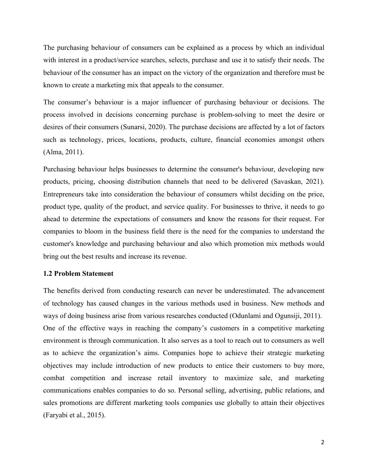The purchasing behaviour of consumers can be explained as a process by which an individual with interest in a product/service searches, selects, purchase and use it to satisfy their needs. The behaviour of the consumer has an impact on the victory of the organization and therefore must be known to create a marketing mix that appeals to the consumer.

The consumer's behaviour is a major influencer of purchasing behaviour or decisions. The process involved in decisions concerning purchase is problem-solving to meet the desire or desires of their consumers (Sunarsi, 2020). The purchase decisions are affected by a lot of factors such as technology, prices, locations, products, culture, financial economies amongst others (Alma, 2011).

Purchasing behaviour helps businesses to determine the consumer's behaviour, developing new products, pricing, choosing distribution channels that need to be delivered (Savaskan, 2021). Entrepreneurs take into consideration the behaviour of consumers whilst deciding on the price, product type, quality of the product, and service quality. For businesses to thrive, it needs to go ahead to determine the expectations of consumers and know the reasons for their request. For companies to bloom in the business field there is the need for the companies to understand the customer's knowledge and purchasing behaviour and also which promotion mix methods would bring out the best results and increase its revenue.

#### **1.2 Problem Statement**

The benefits derived from conducting research can never be underestimated. The advancement of technology has caused changes in the various methods used in business. New methods and ways of doing business arise from various researches conducted (Odunlami and Ogunsiji, 2011). One of the effective ways in reaching the company's customers in a competitive marketing environment is through communication. It also serves as a tool to reach out to consumers as well as to achieve the organization's aims. Companies hope to achieve their strategic marketing objectives may include introduction of new products to entice their customers to buy more, combat competition and increase retail inventory to maximize sale, and marketing communications enables companies to do so. Personal selling, advertising, public relations, and sales promotions are different marketing tools companies use globally to attain their objectives (Faryabi et al., 2015).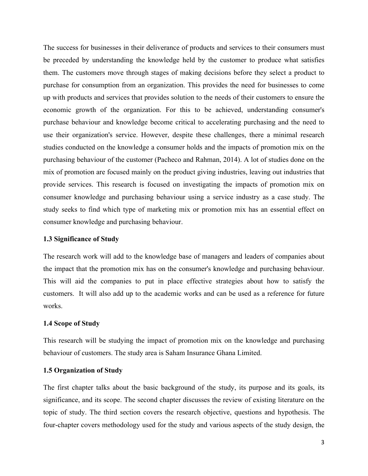The success for businesses in their deliverance of products and services to their consumers must be preceded by understanding the knowledge held by the customer to produce what satisfies them. The customers move through stages of making decisions before they select a product to purchase for consumption from an organization. This provides the need for businesses to come up with products and services that provides solution to the needs of their customers to ensure the economic growth of the organization. For this to be achieved, understanding consumer's purchase behaviour and knowledge become critical to accelerating purchasing and the need to use their organization's service. However, despite these challenges, there a minimal research studies conducted on the knowledge a consumer holds and the impacts of promotion mix on the purchasing behaviour of the customer (Pacheco and Rahman, 2014). A lot of studies done on the mix of promotion are focused mainly on the product giving industries, leaving out industries that provide services. This research is focused on investigating the impacts of promotion mix on consumer knowledge and purchasing behaviour using a service industry as a case study. The study seeks to find which type of marketing mix or promotion mix has an essential effect on consumer knowledge and purchasing behaviour.

### **1.3 Significance of Study**

The research work will add to the knowledge base of managers and leaders of companies about the impact that the promotion mix has on the consumer's knowledge and purchasing behaviour. This will aid the companies to put in place effective strategies about how to satisfy the customers. It will also add up to the academic works and can be used as a reference for future works.

#### **1.4 Scope of Study**

This research will be studying the impact of promotion mix on the knowledge and purchasing behaviour of customers. The study area is Saham Insurance Ghana Limited.

### **1.5 Organization of Study**

The first chapter talks about the basic background of the study, its purpose and its goals, its significance, and its scope. The second chapter discusses the review of existing literature on the topic of study. The third section covers the research objective, questions and hypothesis. The four-chapter covers methodology used for the study and various aspects of the study design, the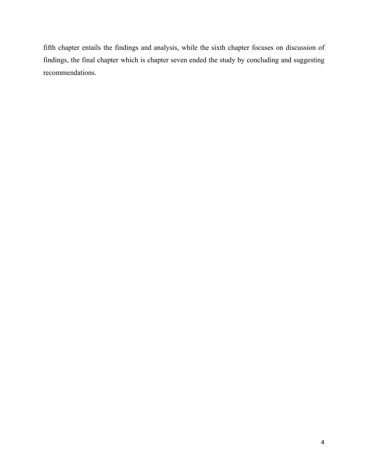fifth chapter entails the findings and analysis, while the sixth chapter focuses on discussion of findings, the final chapter which is chapter seven ended the study by concluding and suggesting recommendations.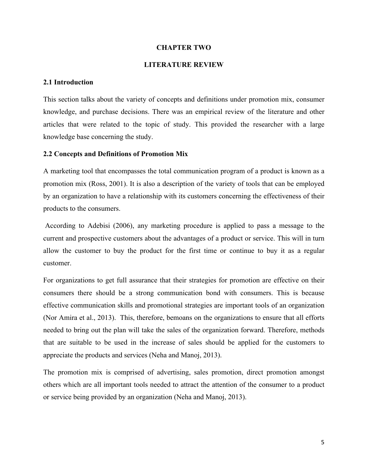### **CHAPTER TWO**

### **LITERATURE REVIEW**

### **2.1 Introduction**

This section talks about the variety of concepts and definitions under promotion mix, consumer knowledge, and purchase decisions. There was an empirical review of the literature and other articles that were related to the topic of study. This provided the researcher with a large knowledge base concerning the study.

#### **2.2 Concepts and Definitions of Promotion Mix**

A marketing tool that encompasses the total communication program of a product is known as a promotion mix (Ross, 2001). It is also a description of the variety of tools that can be employed by an organization to have a relationship with its customers concerning the effectiveness of their products to the consumers.

According to Adebisi (2006), any marketing procedure is applied to pass a message to the current and prospective customers about the advantages of a product or service. This will in turn allow the customer to buy the product for the first time or continue to buy it as a regular customer.

For organizations to get full assurance that their strategies for promotion are effective on their consumers there should be a strong communication bond with consumers. This is because effective communication skills and promotional strategies are important tools of an organization (Nor Amira et al., 2013). This, therefore, bemoans on the organizations to ensure that all efforts needed to bring out the plan will take the sales of the organization forward. Therefore, methods that are suitable to be used in the increase of sales should be applied for the customers to appreciate the products and services (Neha and Manoj, 2013).

The promotion mix is comprised of advertising, sales promotion, direct promotion amongst others which are all important tools needed to attract the attention of the consumer to a product or service being provided by an organization (Neha and Manoj, 2013).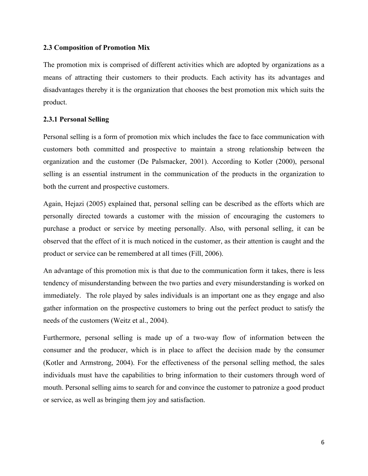### **2.3 Composition of Promotion Mix**

The promotion mix is comprised of different activities which are adopted by organizations as a means of attracting their customers to their products. Each activity has its advantages and disadvantages thereby it is the organization that chooses the best promotion mix which suits the product.

### **2.3.1 Personal Selling**

Personal selling is a form of promotion mix which includes the face to face communication with customers both committed and prospective to maintain a strong relationship between the organization and the customer (De Palsmacker, 2001). According to Kotler (2000), personal selling is an essential instrument in the communication of the products in the organization to both the current and prospective customers.

Again, Hejazi (2005) explained that, personal selling can be described as the efforts which are personally directed towards a customer with the mission of encouraging the customers to purchase a product or service by meeting personally. Also, with personal selling, it can be observed that the effect of it is much noticed in the customer, as their attention is caught and the product or service can be remembered at all times (Fill, 2006).

An advantage of this promotion mix is that due to the communication form it takes, there is less tendency of misunderstanding between the two parties and every misunderstanding is worked on immediately. The role played by sales individuals is an important one as they engage and also gather information on the prospective customers to bring out the perfect product to satisfy the needs of the customers (Weitz et al., 2004).

Furthermore, personal selling is made up of a two-way flow of information between the consumer and the producer, which is in place to affect the decision made by the consumer (Kotler and Armstrong, 2004). For the effectiveness of the personal selling method, the sales individuals must have the capabilities to bring information to their customers through word of mouth. Personal selling aims to search for and convince the customer to patronize a good product or service, as well as bringing them joy and satisfaction.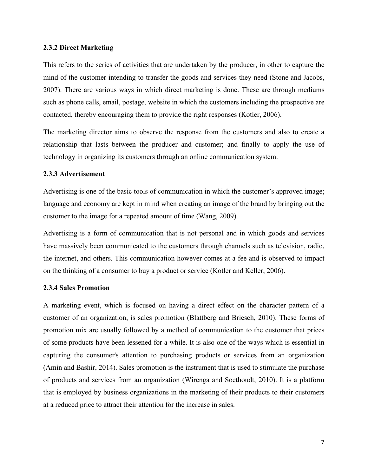#### **2.3.2 Direct Marketing**

This refers to the series of activities that are undertaken by the producer, in other to capture the mind of the customer intending to transfer the goods and services they need (Stone and Jacobs, 2007). There are various ways in which direct marketing is done. These are through mediums such as phone calls, email, postage, website in which the customers including the prospective are contacted, thereby encouraging them to provide the right responses (Kotler, 2006).

The marketing director aims to observe the response from the customers and also to create a relationship that lasts between the producer and customer; and finally to apply the use of technology in organizing its customers through an online communication system.

### **2.3.3 Advertisement**

Advertising is one of the basic tools of communication in which the customer's approved image; language and economy are kept in mind when creating an image of the brand by bringing out the customer to the image for a repeated amount of time (Wang, 2009).

Advertising is a form of communication that is not personal and in which goods and services have massively been communicated to the customers through channels such as television, radio, the internet, and others. This communication however comes at a fee and is observed to impact on the thinking of a consumer to buy a product or service (Kotler and Keller, 2006).

#### **2.3.4 Sales Promotion**

A marketing event, which is focused on having a direct effect on the character pattern of a customer of an organization, is sales promotion (Blattberg and Briesch, 2010). These forms of promotion mix are usually followed by a method of communication to the customer that prices of some products have been lessened for a while. It is also one of the ways which is essential in capturing the consumer's attention to purchasing products or services from an organization (Amin and Bashir, 2014). Sales promotion is the instrument that is used to stimulate the purchase of products and services from an organization (Wirenga and Soethoudt, 2010). It is a platform that is employed by business organizations in the marketing of their products to their customers at a reduced price to attract their attention for the increase in sales.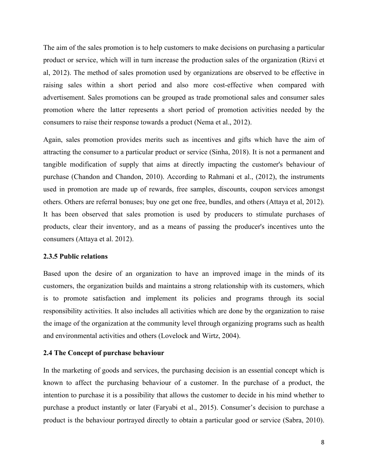The aim of the sales promotion is to help customers to make decisions on purchasing a particular product or service, which will in turn increase the production sales of the organization (Rizvi et al, 2012). The method of sales promotion used by organizations are observed to be effective in raising sales within a short period and also more cost-effective when compared with advertisement. Sales promotions can be grouped as trade promotional sales and consumer sales promotion where the latter represents a short period of promotion activities needed by the consumers to raise their response towards a product (Nema et al., 2012).

Again, sales promotion provides merits such as incentives and gifts which have the aim of attracting the consumer to a particular product or service (Sinha, 2018). It is not a permanent and tangible modification of supply that aims at directly impacting the customer's behaviour of purchase (Chandon and Chandon, 2010). According to Rahmani et al., (2012), the instruments used in promotion are made up of rewards, free samples, discounts, coupon services amongst others. Others are referral bonuses; buy one get one free, bundles, and others (Attaya et al, 2012). It has been observed that sales promotion is used by producers to stimulate purchases of products, clear their inventory, and as a means of passing the producer's incentives unto the consumers (Attaya et al. 2012).

#### **2.3.5 Public relations**

Based upon the desire of an organization to have an improved image in the minds of its customers, the organization builds and maintains a strong relationship with its customers, which is to promote satisfaction and implement its policies and programs through its social responsibility activities. It also includes all activities which are done by the organization to raise the image of the organization at the community level through organizing programs such as health and environmental activities and others (Lovelock and Wirtz, 2004).

#### **2.4 The Concept of purchase behaviour**

In the marketing of goods and services, the purchasing decision is an essential concept which is known to affect the purchasing behaviour of a customer. In the purchase of a product, the intention to purchase it is a possibility that allows the customer to decide in his mind whether to purchase a product instantly or later (Faryabi et al., 2015). Consumer's decision to purchase a product is the behaviour portrayed directly to obtain a particular good or service (Sabra, 2010).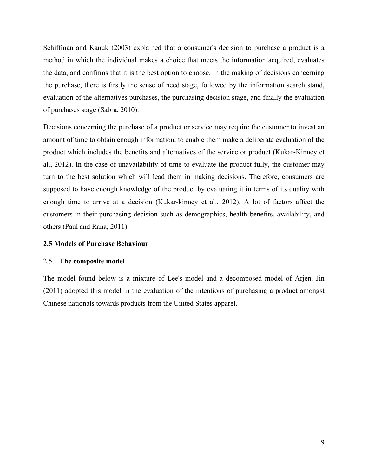Schiffman and Kanuk (2003) explained that a consumer's decision to purchase a product is a method in which the individual makes a choice that meets the information acquired, evaluates the data, and confirms that it is the best option to choose. In the making of decisions concerning the purchase, there is firstly the sense of need stage, followed by the information search stand, evaluation of the alternatives purchases, the purchasing decision stage, and finally the evaluation of purchases stage (Sabra, 2010).

Decisions concerning the purchase of a product or service may require the customer to invest an amount of time to obtain enough information, to enable them make a deliberate evaluation of the product which includes the benefits and alternatives of the service or product (Kukar-Kinney et al., 2012). In the case of unavailability of time to evaluate the product fully, the customer may turn to the best solution which will lead them in making decisions. Therefore, consumers are supposed to have enough knowledge of the product by evaluating it in terms of its quality with enough time to arrive at a decision (Kukar-kinney et al., 2012). A lot of factors affect the customers in their purchasing decision such as demographics, health benefits, availability, and others (Paul and Rana, 2011).

### **2.5 Models of Purchase Behaviour**

### 2.5.1 **The composite model**

The model found below is a mixture of Lee's model and a decomposed model of Arjen. Jin (2011) adopted this model in the evaluation of the intentions of purchasing a product amongst Chinese nationals towards products from the United States apparel.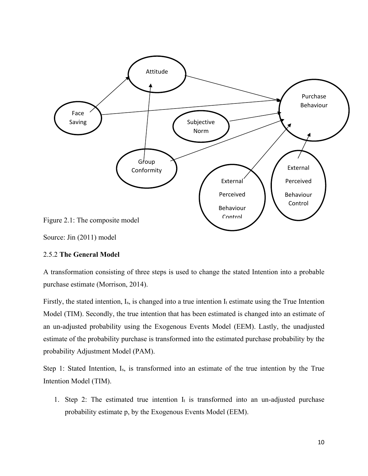

Source: Jin (2011) model

### 2.5.2 **The General Model**

A transformation consisting of three steps is used to change the stated Intention into a probable purchase estimate (Morrison, 2014).

Firstly, the stated intention,  $I_s$ , is changed into a true intention  $I_t$  estimate using the True Intention Model (TIM). Secondly, the true intention that has been estimated is changed into an estimate of an un-adjusted probability using the Exogenous Events Model (EEM). Lastly, the unadjusted estimate of the probability purchase is transformed into the estimated purchase probability by the probability Adjustment Model (PAM).

Step 1: Stated Intention, Is, is transformed into an estimate of the true intention by the True Intention Model (TIM).

1. Step 2: The estimated true intention  $I_t$  is transformed into an un-adjusted purchase probability estimate p, by the Exogenous Events Model (EEM).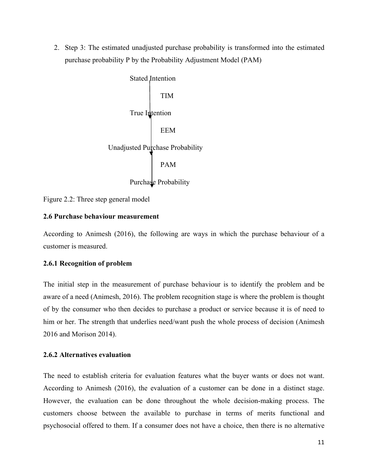2. Step 3: The estimated unadjusted purchase probability is transformed into the estimated purchase probability P by the Probability Adjustment Model (PAM)

> Stated Intention TIM True Intention EEM Unadjusted Purchase Probability PAM Purchase Probability

Figure 2.2: Three step general model

### **2.6 Purchase behaviour measurement**

According to Animesh (2016), the following are ways in which the purchase behaviour of a customer is measured.

### **2.6.1 Recognition of problem**

The initial step in the measurement of purchase behaviour is to identify the problem and be aware of a need (Animesh, 2016). The problem recognition stage is where the problem is thought of by the consumer who then decides to purchase a product or service because it is of need to him or her. The strength that underlies need/want push the whole process of decision (Animesh 2016 and Morison 2014).

### **2.6.2 Alternatives evaluation**

The need to establish criteria for evaluation features what the buyer wants or does not want. According to Animesh (2016), the evaluation of a customer can be done in a distinct stage. However, the evaluation can be done throughout the whole decision-making process. The customers choose between the available to purchase in terms of merits functional and psychosocial offered to them. If a consumer does not have a choice, then there is no alternative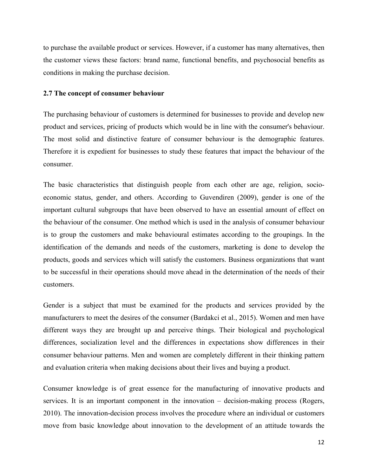to purchase the available product or services. However, if a customer has many alternatives, then the customer views these factors: brand name, functional benefits, and psychosocial benefits as conditions in making the purchase decision.

### **2.7 The concept of consumer behaviour**

The purchasing behaviour of customers is determined for businesses to provide and develop new product and services, pricing of products which would be in line with the consumer's behaviour. The most solid and distinctive feature of consumer behaviour is the demographic features. Therefore it is expedient for businesses to study these features that impact the behaviour of the consumer.

The basic characteristics that distinguish people from each other are age, religion, socioeconomic status, gender, and others. According to Guvendiren (2009), gender is one of the important cultural subgroups that have been observed to have an essential amount of effect on the behaviour of the consumer. One method which is used in the analysis of consumer behaviour is to group the customers and make behavioural estimates according to the groupings. In the identification of the demands and needs of the customers, marketing is done to develop the products, goods and services which will satisfy the customers. Business organizations that want to be successful in their operations should move ahead in the determination of the needs of their customers.

Gender is a subject that must be examined for the products and services provided by the manufacturers to meet the desires of the consumer (Bardakci et al., 2015). Women and men have different ways they are brought up and perceive things. Their biological and psychological differences, socialization level and the differences in expectations show differences in their consumer behaviour patterns. Men and women are completely different in their thinking pattern and evaluation criteria when making decisions about their lives and buying a product.

Consumer knowledge is of great essence for the manufacturing of innovative products and services. It is an important component in the innovation – decision-making process (Rogers, 2010). The innovation-decision process involves the procedure where an individual or customers move from basic knowledge about innovation to the development of an attitude towards the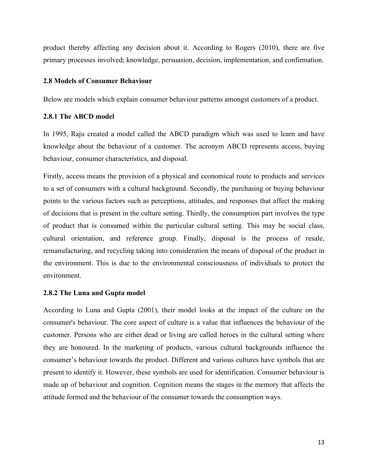product thereby affecting any decision about it. According to Rogers (2010), there are five primary processes involved; knowledge, persuasion, decision, implementation, and confirmation.

### **2.8 Models of Consumer Behaviour**

Below are models which explain consumer behaviour patterns amongst customers of a product.

### **2.8.1 The ABCD model**

In 1995, Raju created a model called the ABCD paradigm which was used to learn and have knowledge about the behaviour of a customer. The acronym ABCD represents access, buying behaviour, consumer characteristics, and disposal.

Firstly, access means the provision of a physical and economical route to products and services to a set of consumers with a cultural background. Secondly, the purchasing or buying behaviour points to the various factors such as perceptions, attitudes, and responses that affect the making of decisions that is present in the culture setting. Thirdly, the consumption part involves the type of product that is consumed within the particular cultural setting. This may be social class, cultural orientation, and reference group. Finally, disposal is the process of resale, remanufacturing, and recycling taking into consideration the means of disposal of the product in the environment. This is due to the environmental consciousness of individuals to protect the environment.

### **2.8.2 The Luna and Gupta model**

According to Luna and Gupta (2001), their model looks at the impact of the culture on the consumer's behaviour. The core aspect of culture is a value that influences the behaviour of the customer. Persons who are either dead or living are called heroes in the cultural setting where they are honoured. In the marketing of products, various cultural backgrounds influence the consumer's behaviour towards the product. Different and various cultures have symbols that are present to identify it. However, these symbols are used for identification. Consumer behaviour is made up of behaviour and cognition. Cognition means the stages in the memory that affects the attitude formed and the behaviour of the consumer towards the consumption ways.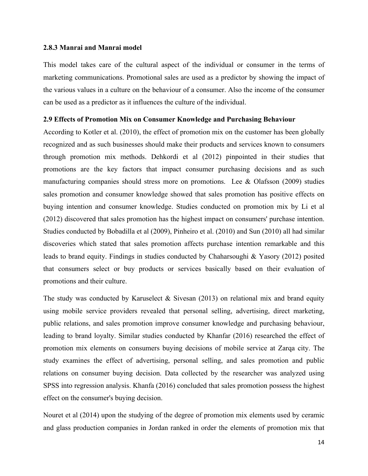#### **2.8.3 Manrai and Manrai model**

This model takes care of the cultural aspect of the individual or consumer in the terms of marketing communications. Promotional sales are used as a predictor by showing the impact of the various values in a culture on the behaviour of a consumer. Also the income of the consumer can be used as a predictor as it influences the culture of the individual.

#### **2.9 Effects of Promotion Mix on Consumer Knowledge and Purchasing Behaviour**

According to Kotler et al. (2010), the effect of promotion mix on the customer has been globally recognized and as such businesses should make their products and services known to consumers through promotion mix methods. Dehkordi et al (2012) pinpointed in their studies that promotions are the key factors that impact consumer purchasing decisions and as such manufacturing companies should stress more on promotions. Lee & Olafsson (2009) studies sales promotion and consumer knowledge showed that sales promotion has positive effects on buying intention and consumer knowledge. Studies conducted on promotion mix by Li et al (2012) discovered that sales promotion has the highest impact on consumers' purchase intention. Studies conducted by Bobadilla et al (2009), Pinheiro et al. (2010) and Sun (2010) all had similar discoveries which stated that sales promotion affects purchase intention remarkable and this leads to brand equity. Findings in studies conducted by Chaharsoughi & Yasory (2012) posited that consumers select or buy products or services basically based on their evaluation of promotions and their culture.

The study was conducted by Karuselect & Sivesan  $(2013)$  on relational mix and brand equity using mobile service providers revealed that personal selling, advertising, direct marketing, public relations, and sales promotion improve consumer knowledge and purchasing behaviour, leading to brand loyalty. Similar studies conducted by Khanfar (2016) researched the effect of promotion mix elements on consumers buying decisions of mobile service at Zarqa city. The study examines the effect of advertising, personal selling, and sales promotion and public relations on consumer buying decision. Data collected by the researcher was analyzed using SPSS into regression analysis. Khanfa (2016) concluded that sales promotion possess the highest effect on the consumer's buying decision.

Nouret et al (2014) upon the studying of the degree of promotion mix elements used by ceramic and glass production companies in Jordan ranked in order the elements of promotion mix that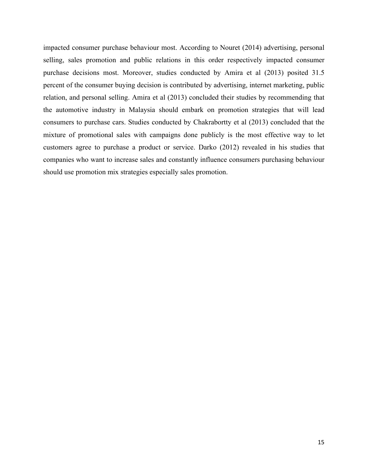impacted consumer purchase behaviour most. According to Nouret (2014) advertising, personal selling, sales promotion and public relations in this order respectively impacted consumer purchase decisions most. Moreover, studies conducted by Amira et al (2013) posited 31.5 percent of the consumer buying decision is contributed by advertising, internet marketing, public relation, and personal selling. Amira et al (2013) concluded their studies by recommending that the automotive industry in Malaysia should embark on promotion strategies that will lead consumers to purchase cars. Studies conducted by Chakrabortty et al (2013) concluded that the mixture of promotional sales with campaigns done publicly is the most effective way to let customers agree to purchase a product or service. Darko (2012) revealed in his studies that companies who want to increase sales and constantly influence consumers purchasing behaviour should use promotion mix strategies especially sales promotion.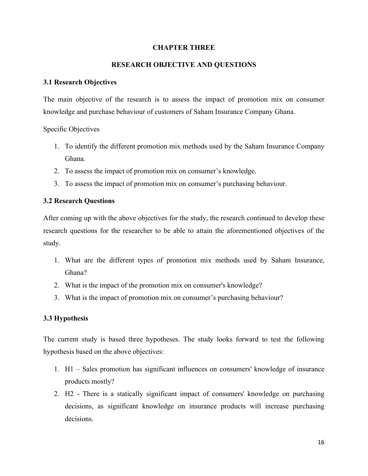### **CHAPTER THREE**

### **RESEARCH OBJECTIVE AND QUESTIONS**

### **3.1 Research Objectives**

The main objective of the research is to assess the impact of promotion mix on consumer knowledge and purchase behaviour of customers of Saham Insurance Company Ghana.

Specific Objectives

- 1. To identify the different promotion mix methods used by the Saham Insurance Company Ghana.
- 2. To assess the impact of promotion mix on consumer's knowledge.
- 3. To assess the impact of promotion mix on consumer's purchasing behaviour.

### **3.2 Research Questions**

After coming up with the above objectives for the study, the research continued to develop these research questions for the researcher to be able to attain the aforementioned objectives of the study.

- 1. What are the different types of promotion mix methods used by Saham Insurance, Ghana?
- 2. What is the impact of the promotion mix on consumer's knowledge?
- 3. What is the impact of promotion mix on consumer's purchasing behaviour?

### **3.3 Hypothesis**

The current study is based three hypotheses. The study looks forward to test the following hypothesis based on the above objectives:

- 1. H1 Sales promotion has significant influences on consumers' knowledge of insurance products mostly?
- 2. H2 There is a statically significant impact of consumers' knowledge on purchasing decisions, as significant knowledge on insurance products will increase purchasing decisions.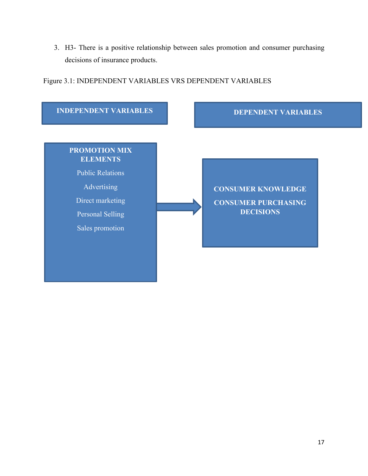3. H3- There is a positive relationship between sales promotion and consumer purchasing decisions of insurance products.

Figure 3.1: INDEPENDENT VARIABLES VRS DEPENDENT VARIABLES

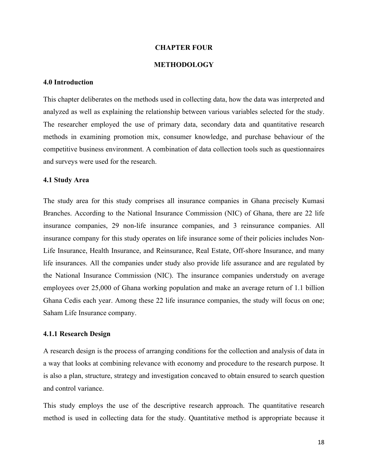### **CHAPTER FOUR**

### **METHODOLOGY**

### **4.0 Introduction**

This chapter deliberates on the methods used in collecting data, how the data was interpreted and analyzed as well as explaining the relationship between various variables selected for the study. The researcher employed the use of primary data, secondary data and quantitative research methods in examining promotion mix, consumer knowledge, and purchase behaviour of the competitive business environment. A combination of data collection tools such as questionnaires and surveys were used for the research.

#### **4.1 Study Area**

The study area for this study comprises all insurance companies in Ghana precisely Kumasi Branches. According to the National Insurance Commission (NIC) of Ghana, there are 22 life insurance companies, 29 non-life insurance companies, and 3 reinsurance companies. All insurance company for this study operates on life insurance some of their policies includes Non-Life Insurance, Health Insurance, and Reinsurance, Real Estate, Off-shore Insurance, and many life insurances. All the companies under study also provide life assurance and are regulated by the National Insurance Commission (NIC). The insurance companies understudy on average employees over 25,000 of Ghana working population and make an average return of 1.1 billion Ghana Cedis each year. Among these 22 life insurance companies, the study will focus on one; Saham Life Insurance company.

### **4.1.1 Research Design**

A research design is the process of arranging conditions for the collection and analysis of data in a way that looks at combining relevance with economy and procedure to the research purpose. It is also a plan, structure, strategy and investigation concaved to obtain ensured to search question and control variance.

This study employs the use of the descriptive research approach. The quantitative research method is used in collecting data for the study. Quantitative method is appropriate because it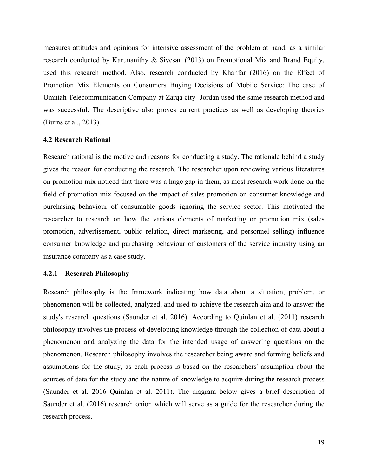measures attitudes and opinions for intensive assessment of the problem at hand, as a similar research conducted by Karunanithy & Sivesan (2013) on Promotional Mix and Brand Equity, used this research method. Also, research conducted by Khanfar (2016) on the Effect of Promotion Mix Elements on Consumers Buying Decisions of Mobile Service: The case of Umniah Telecommunication Company at Zarqa city- Jordan used the same research method and was successful. The descriptive also proves current practices as well as developing theories (Burns et al., 2013).

#### **4.2 Research Rational**

Research rational is the motive and reasons for conducting a study. The rationale behind a study gives the reason for conducting the research. The researcher upon reviewing various literatures on promotion mix noticed that there was a huge gap in them, as most research work done on the field of promotion mix focused on the impact of sales promotion on consumer knowledge and purchasing behaviour of consumable goods ignoring the service sector. This motivated the researcher to research on how the various elements of marketing or promotion mix (sales promotion, advertisement, public relation, direct marketing, and personnel selling) influence consumer knowledge and purchasing behaviour of customers of the service industry using an insurance company as a case study.

#### **4.2.1 Research Philosophy**

Research philosophy is the framework indicating how data about a situation, problem, or phenomenon will be collected, analyzed, and used to achieve the research aim and to answer the study's research questions (Saunder et al. 2016). According to Quinlan et al. (2011) research philosophy involves the process of developing knowledge through the collection of data about a phenomenon and analyzing the data for the intended usage of answering questions on the phenomenon. Research philosophy involves the researcher being aware and forming beliefs and assumptions for the study, as each process is based on the researchers' assumption about the sources of data for the study and the nature of knowledge to acquire during the research process (Saunder et al. 2016 Quinlan et al. 2011). The diagram below gives a brief description of Saunder et al. (2016) research onion which will serve as a guide for the researcher during the research process.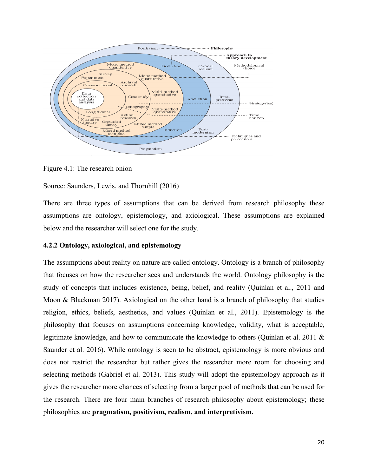

Figure 4.1: The research onion

Source: Saunders, Lewis, and Thornhill (2016)

There are three types of assumptions that can be derived from research philosophy these assumptions are ontology, epistemology, and axiological. These assumptions are explained below and the researcher will select one for the study.

### **4.2.2 Ontology, axiological, and epistemology**

The assumptions about reality on nature are called ontology. Ontology is a branch of philosophy that focuses on how the researcher sees and understands the world. Ontology philosophy is the study of concepts that includes existence, being, belief, and reality (Quinlan et al., 2011 and Moon & Blackman 2017). Axiological on the other hand is a branch of philosophy that studies religion, ethics, beliefs, aesthetics, and values (Quinlan et al., 2011). Epistemology is the philosophy that focuses on assumptions concerning knowledge, validity, what is acceptable, legitimate knowledge, and how to communicate the knowledge to others (Quinlan et al. 2011 & Saunder et al. 2016). While ontology is seen to be abstract, epistemology is more obvious and does not restrict the researcher but rather gives the researcher more room for choosing and selecting methods (Gabriel et al. 2013). This study will adopt the epistemology approach as it gives the researcher more chances of selecting from a larger pool of methods that can be used for the research. There are four main branches of research philosophy about epistemology; these philosophies are **pragmatism, positivism, realism, and interpretivism.**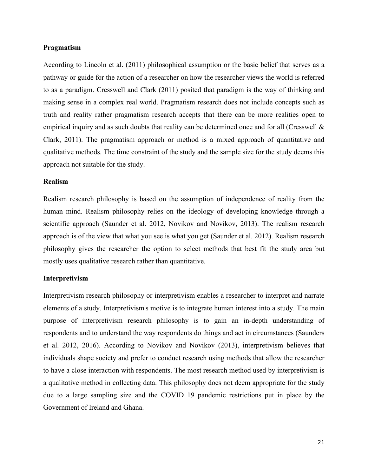### **Pragmatism**

According to Lincoln et al. (2011) philosophical assumption or the basic belief that serves as a pathway or guide for the action of a researcher on how the researcher views the world is referred to as a paradigm. Cresswell and Clark (2011) posited that paradigm is the way of thinking and making sense in a complex real world. Pragmatism research does not include concepts such as truth and reality rather pragmatism research accepts that there can be more realities open to empirical inquiry and as such doubts that reality can be determined once and for all (Cresswell & Clark, 2011). The pragmatism approach or method is a mixed approach of quantitative and qualitative methods. The time constraint of the study and the sample size for the study deems this approach not suitable for the study.

#### **Realism**

Realism research philosophy is based on the assumption of independence of reality from the human mind. Realism philosophy relies on the ideology of developing knowledge through a scientific approach (Saunder et al. 2012, Novikov and Novikov, 2013). The realism research approach is of the view that what you see is what you get (Saunder et al. 2012). Realism research philosophy gives the researcher the option to select methods that best fit the study area but mostly uses qualitative research rather than quantitative.

### **Interpretivism**

Interpretivism research philosophy or interpretivism enables a researcher to interpret and narrate elements of a study. Interpretivism's motive is to integrate human interest into a study. The main purpose of interpretivism research philosophy is to gain an in-depth understanding of respondents and to understand the way respondents do things and act in circumstances (Saunders et al. 2012, 2016). According to Novikov and Novikov (2013), interpretivism believes that individuals shape society and prefer to conduct research using methods that allow the researcher to have a close interaction with respondents. The most research method used by interpretivism is a qualitative method in collecting data. This philosophy does not deem appropriate for the study due to a large sampling size and the COVID 19 pandemic restrictions put in place by the Government of Ireland and Ghana.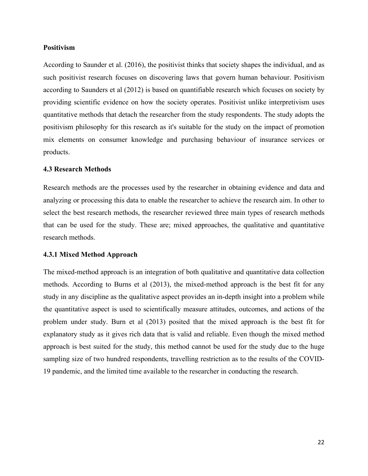### **Positivism**

According to Saunder et al. (2016), the positivist thinks that society shapes the individual, and as such positivist research focuses on discovering laws that govern human behaviour. Positivism according to Saunders et al (2012) is based on quantifiable research which focuses on society by providing scientific evidence on how the society operates. Positivist unlike interpretivism uses quantitative methods that detach the researcher from the study respondents. The study adopts the positivism philosophy for this research as it's suitable for the study on the impact of promotion mix elements on consumer knowledge and purchasing behaviour of insurance services or products.

#### **4.3 Research Methods**

Research methods are the processes used by the researcher in obtaining evidence and data and analyzing or processing this data to enable the researcher to achieve the research aim. In other to select the best research methods, the researcher reviewed three main types of research methods that can be used for the study. These are; mixed approaches, the qualitative and quantitative research methods.

### **4.3.1 Mixed Method Approach**

The mixed-method approach is an integration of both qualitative and quantitative data collection methods. According to Burns et al (2013), the mixed-method approach is the best fit for any study in any discipline as the qualitative aspect provides an in-depth insight into a problem while the quantitative aspect is used to scientifically measure attitudes, outcomes, and actions of the problem under study. Burn et al (2013) posited that the mixed approach is the best fit for explanatory study as it gives rich data that is valid and reliable. Even though the mixed method approach is best suited for the study, this method cannot be used for the study due to the huge sampling size of two hundred respondents, travelling restriction as to the results of the COVID-19 pandemic, and the limited time available to the researcher in conducting the research.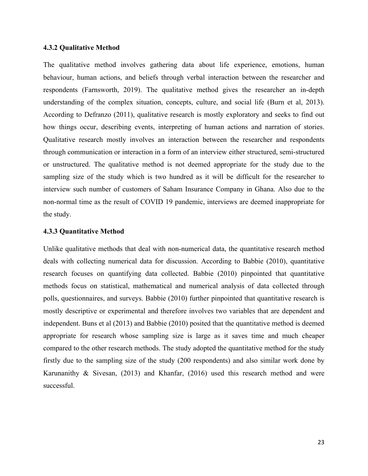#### **4.3.2 Qualitative Method**

The qualitative method involves gathering data about life experience, emotions, human behaviour, human actions, and beliefs through verbal interaction between the researcher and respondents (Farnsworth, 2019). The qualitative method gives the researcher an in-depth understanding of the complex situation, concepts, culture, and social life (Burn et al, 2013). According to Defranzo (2011), qualitative research is mostly exploratory and seeks to find out how things occur, describing events, interpreting of human actions and narration of stories. Qualitative research mostly involves an interaction between the researcher and respondents through communication or interaction in a form of an interview either structured, semi-structured or unstructured. The qualitative method is not deemed appropriate for the study due to the sampling size of the study which is two hundred as it will be difficult for the researcher to interview such number of customers of Saham Insurance Company in Ghana. Also due to the non-normal time as the result of COVID 19 pandemic, interviews are deemed inappropriate for the study.

### **4.3.3 Quantitative Method**

Unlike qualitative methods that deal with non-numerical data, the quantitative research method deals with collecting numerical data for discussion. According to Babbie (2010), quantitative research focuses on quantifying data collected. Babbie (2010) pinpointed that quantitative methods focus on statistical, mathematical and numerical analysis of data collected through polls, questionnaires, and surveys. Babbie (2010) further pinpointed that quantitative research is mostly descriptive or experimental and therefore involves two variables that are dependent and independent. Buns et al (2013) and Babbie (2010) posited that the quantitative method is deemed appropriate for research whose sampling size is large as it saves time and much cheaper compared to the other research methods. The study adopted the quantitative method for the study firstly due to the sampling size of the study (200 respondents) and also similar work done by Karunanithy & Sivesan, (2013) and Khanfar, (2016) used this research method and were successful.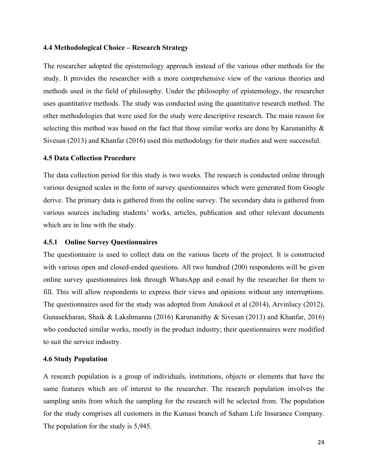#### **4.4 Methodological Choice – Research Strategy**

The researcher adopted the epistemology approach instead of the various other methods for the study. It provides the researcher with a more comprehensive view of the various theories and methods used in the field of philosophy. Under the philosophy of epistemology, the researcher uses quantitative methods. The study was conducted using the quantitative research method. The other methodologies that were used for the study were descriptive research. The main reason for selecting this method was based on the fact that those similar works are done by Karunanithy & Sivesan (2013) and Khanfar (2016) used this methodology for their studies and were successful.

#### **4.5 Data Collection Procedure**

The data collection period for this study is two weeks. The research is conducted online through various designed scales in the form of survey questionnaires which were generated from Google derive. The primary data is gathered from the online survey. The secondary data is gathered from various sources including students' works, articles, publication and other relevant documents which are in line with the study.

#### **4.5.1 Online Survey Questionnaires**

The questionnaire is used to collect data on the various facets of the project. It is constructed with various open and closed-ended questions. All two hundred (200) respondents will be given online survey questionnaires link through WhatsApp and e-mail by the researcher for them to fill. This will allow respondents to express their views and opinions without any interruptions. The questionnaires used for the study was adopted from Anukool et al (2014), Arvinlucy (2012), Gunasekharan, Shaik & Lakshmanna (2016) Karunanithy & Sivesan (2013) and Khanfar, 2016) who conducted similar works, mostly in the product industry; their questionnaires were modified to suit the service industry.

### **4.6 Study Population**

A research population is a group of individuals, institutions, objects or elements that have the same features which are of interest to the researcher. The research population involves the sampling units from which the sampling for the research will be selected from. The population for the study comprises all customers in the Kumasi branch of Saham Life Insurance Company. The population for the study is 5,945.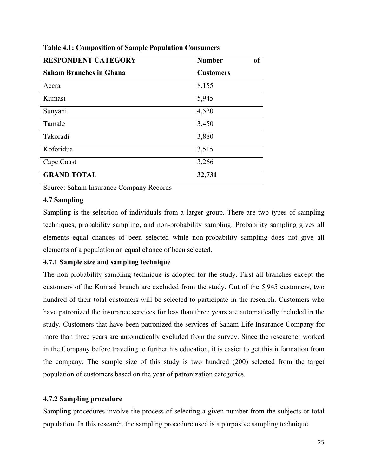| <b>RESPONDENT CATEGORY</b>     | <b>Number</b>    | <sub>of</sub> |
|--------------------------------|------------------|---------------|
| <b>Saham Branches in Ghana</b> | <b>Customers</b> |               |
| Accra                          | 8,155            |               |
| Kumasi                         | 5,945            |               |
| Sunyani                        | 4,520            |               |
| Tamale                         | 3,450            |               |
| Takoradi                       | 3,880            |               |
| Koforidua                      | 3,515            |               |
| Cape Coast                     | 3,266            |               |
| <b>GRAND TOTAL</b>             | 32,731           |               |

**Table 4.1: Composition of Sample Population Consumers**

Source: Saham Insurance Company Records

### **4.7 Sampling**

Sampling is the selection of individuals from a larger group. There are two types of sampling techniques, probability sampling, and non-probability sampling. Probability sampling gives all elements equal chances of been selected while non-probability sampling does not give all elements of a population an equal chance of been selected.

### **4.7.1 Sample size and sampling technique**

The non-probability sampling technique is adopted for the study. First all branches except the customers of the Kumasi branch are excluded from the study. Out of the 5,945 customers, two hundred of their total customers will be selected to participate in the research. Customers who have patronized the insurance services for less than three years are automatically included in the study. Customers that have been patronized the services of Saham Life Insurance Company for more than three years are automatically excluded from the survey. Since the researcher worked in the Company before traveling to further his education, it is easier to get this information from the company. The sample size of this study is two hundred (200) selected from the target population of customers based on the year of patronization categories.

### **4.7.2 Sampling procedure**

Sampling procedures involve the process of selecting a given number from the subjects or total population. In this research, the sampling procedure used is a purposive sampling technique.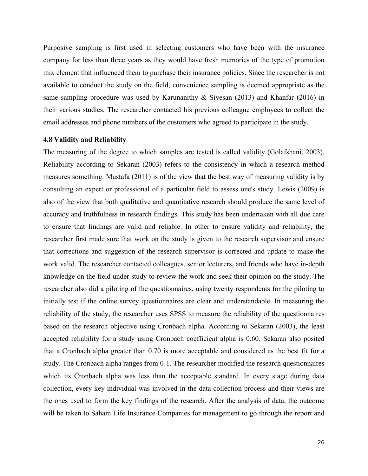Purposive sampling is first used in selecting customers who have been with the insurance company for less than three years as they would have fresh memories of the type of promotion mix element that influenced them to purchase their insurance policies. Since the researcher is not available to conduct the study on the field, convenience sampling is deemed appropriate as the same sampling procedure was used by Karunanithy & Sivesan (2013) and Khanfar (2016) in their various studies. The researcher contacted his previous colleague employees to collect the email addresses and phone numbers of the customers who agreed to participate in the study.

#### **4.8 Validity and Reliability**

The measuring of the degree to which samples are tested is called validity (Golafshani, 2003). Reliability according to Sekaran (2003) refers to the consistency in which a research method measures something. Mustafa (2011) is of the view that the best way of measuring validity is by consulting an expert or professional of a particular field to assess one's study. Lewis (2009) is also of the view that both qualitative and quantitative research should produce the same level of accuracy and truthfulness in research findings. This study has been undertaken with all due care to ensure that findings are valid and reliable. In other to ensure validity and reliability, the researcher first made sure that work on the study is given to the research supervisor and ensure that corrections and suggestion of the research supervisor is corrected and update to make the work valid. The researcher contacted colleagues, senior lecturers, and friends who have in-depth knowledge on the field under study to review the work and seek their opinion on the study. The researcher also did a piloting of the questionnaires, using twenty respondents for the piloting to initially test if the online survey questionnaires are clear and understandable. In measuring the reliability of the study, the researcher uses SPSS to measure the reliability of the questionnaires based on the research objective using Cronbach alpha. According to Sekaran (2003), the least accepted reliability for a study using Cronbach coefficient alpha is 0.60. Sekaran also posited that a Cronbach alpha greater than 0.70 is more acceptable and considered as the best fit for a study. The Cronbach alpha ranges from 0-1. The researcher modified the research questionnaires which its Cronbach alpha was less than the acceptable standard. In every stage during data collection, every key individual was involved in the data collection process and their views are the ones used to form the key findings of the research. After the analysis of data, the outcome will be taken to Saham Life Insurance Companies for management to go through the report and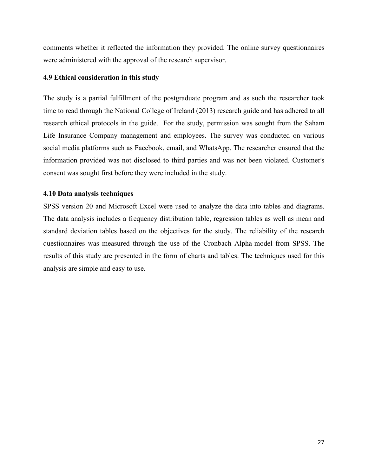comments whether it reflected the information they provided. The online survey questionnaires were administered with the approval of the research supervisor.

### **4.9 Ethical consideration in this study**

The study is a partial fulfillment of the postgraduate program and as such the researcher took time to read through the National College of Ireland (2013) research guide and has adhered to all research ethical protocols in the guide. For the study, permission was sought from the Saham Life Insurance Company management and employees. The survey was conducted on various social media platforms such as Facebook, email, and WhatsApp. The researcher ensured that the information provided was not disclosed to third parties and was not been violated. Customer's consent was sought first before they were included in the study.

### **4.10 Data analysis techniques**

SPSS version 20 and Microsoft Excel were used to analyze the data into tables and diagrams. The data analysis includes a frequency distribution table, regression tables as well as mean and standard deviation tables based on the objectives for the study. The reliability of the research questionnaires was measured through the use of the Cronbach Alpha-model from SPSS. The results of this study are presented in the form of charts and tables. The techniques used for this analysis are simple and easy to use.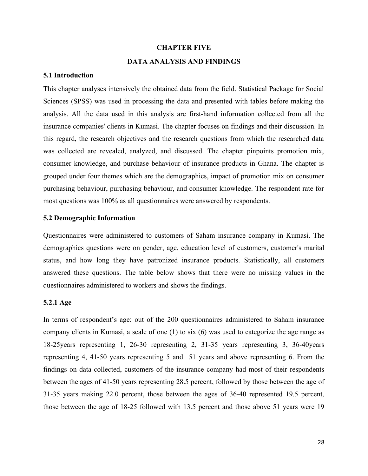#### **CHAPTER FIVE**

### **DATA ANALYSIS AND FINDINGS**

#### **5.1 Introduction**

This chapter analyses intensively the obtained data from the field. Statistical Package for Social Sciences (SPSS) was used in processing the data and presented with tables before making the analysis. All the data used in this analysis are first-hand information collected from all the insurance companies' clients in Kumasi. The chapter focuses on findings and their discussion. In this regard, the research objectives and the research questions from which the researched data was collected are revealed, analyzed, and discussed. The chapter pinpoints promotion mix, consumer knowledge, and purchase behaviour of insurance products in Ghana. The chapter is grouped under four themes which are the demographics, impact of promotion mix on consumer purchasing behaviour, purchasing behaviour, and consumer knowledge. The respondent rate for most questions was 100% as all questionnaires were answered by respondents.

### **5.2 Demographic Information**

Questionnaires were administered to customers of Saham insurance company in Kumasi. The demographics questions were on gender, age, education level of customers, customer's marital status, and how long they have patronized insurance products. Statistically, all customers answered these questions. The table below shows that there were no missing values in the questionnaires administered to workers and shows the findings.

### **5.2.1 Age**

In terms of respondent's age: out of the 200 questionnaires administered to Saham insurance company clients in Kumasi, a scale of one (1) to six (6) was used to categorize the age range as 18-25years representing 1, 26-30 representing 2, 31-35 years representing 3, 36-40years representing 4, 41-50 years representing 5 and 51 years and above representing 6. From the findings on data collected, customers of the insurance company had most of their respondents between the ages of 41-50 years representing 28.5 percent, followed by those between the age of 31-35 years making 22.0 percent, those between the ages of 36-40 represented 19.5 percent, those between the age of 18-25 followed with 13.5 percent and those above 51 years were 19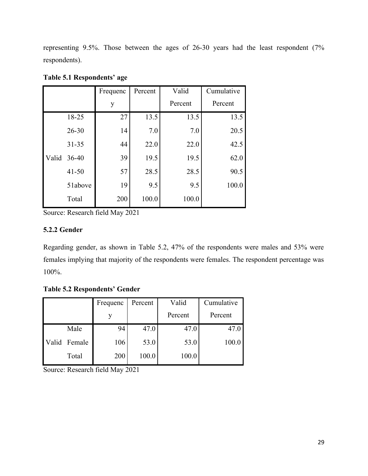representing 9.5%. Those between the ages of 26-30 years had the least respondent (7% respondents).

|       |           | Frequenc | Percent | Valid   | Cumulative |
|-------|-----------|----------|---------|---------|------------|
|       |           | y        |         | Percent | Percent    |
|       | 18-25     | 27       | 13.5    | 13.5    | 13.5       |
|       | $26 - 30$ | 14       | 7.0     | 7.0     | 20.5       |
|       | $31 - 35$ | 44       | 22.0    | 22.0    | 42.5       |
| Valid | $36 - 40$ | 39       | 19.5    | 19.5    | 62.0       |
|       | $41 - 50$ | 57       | 28.5    | 28.5    | 90.5       |
|       | 51above   | 19       | 9.5     | 9.5     | 100.0      |
|       | Total     | 200      | 100.0   | 100.0   |            |

**Table 5.1 Respondents' age** 

Source: Research field May 2021

# **5.2.2 Gender**

Regarding gender, as shown in Table 5.2, 47% of the respondents were males and 53% were females implying that majority of the respondents were females. The respondent percentage was 100%.

**Table 5.2 Respondents' Gender**

|              | Frequenc | Percent | Valid   | Cumulative |
|--------------|----------|---------|---------|------------|
|              |          |         | Percent | Percent    |
| Male         | 94       | 47.0    | 47.0    | 47.0       |
| Valid Female | 106      | 53.0    | 53.0    | 100.0      |
| Total        | 200      | 100.0   | 100.0   |            |

Source: Research field May 2021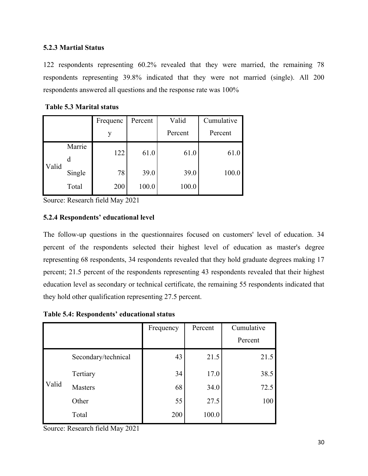# **5.2.3 Martial Status**

122 respondents representing 60.2% revealed that they were married, the remaining 78 respondents representing 39.8% indicated that they were not married (single). All 200 respondents answered all questions and the response rate was 100%

|       |        | Frequenc | Percent | Valid   | Cumulative |  |
|-------|--------|----------|---------|---------|------------|--|
|       |        | y        |         | Percent | Percent    |  |
|       | Marrie | 122      | 61.0    | 61.0    | 61.0       |  |
|       | d      |          |         |         |            |  |
| Valid | Single | 78       | 39.0    | 39.0    | 100.0      |  |
|       | Total  | 200      | 100.0   | 100.0   |            |  |

**Table 5.3 Marital status**

Source: Research field May 2021

# **5.2.4 Respondents' educational level**

The follow-up questions in the questionnaires focused on customers' level of education. 34 percent of the respondents selected their highest level of education as master's degree representing 68 respondents, 34 respondents revealed that they hold graduate degrees making 17 percent; 21.5 percent of the respondents representing 43 respondents revealed that their highest education level as secondary or technical certificate, the remaining 55 respondents indicated that they hold other qualification representing 27.5 percent.

**Table 5.4: Respondents' educational status**

|       |                     | Frequency | Percent | Cumulative |
|-------|---------------------|-----------|---------|------------|
|       |                     |           |         | Percent    |
|       | Secondary/technical | 43        | 21.5    | 21.5       |
|       | Tertiary            | 34        | 17.0    | 38.5       |
| Valid | <b>Masters</b>      | 68        | 34.0    | 72.5       |
|       | Other               | 55        | 27.5    | 100        |
|       | Total               | 200       | 100.0   |            |

Source: Research field May 2021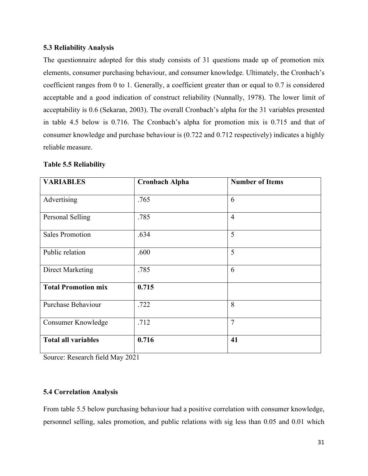# **5.3 Reliability Analysis**

The questionnaire adopted for this study consists of 31 questions made up of promotion mix elements, consumer purchasing behaviour, and consumer knowledge. Ultimately, the Cronbach's coefficient ranges from 0 to 1. Generally, a coefficient greater than or equal to 0.7 is considered acceptable and a good indication of construct reliability (Nunnally, 1978). The lower limit of acceptability is 0.6 (Sekaran, 2003). The overall Cronbach's alpha for the 31 variables presented in table 4.5 below is 0.716. The Cronbach's alpha for promotion mix is 0.715 and that of consumer knowledge and purchase behaviour is (0.722 and 0.712 respectively) indicates a highly reliable measure.

| <b>VARIABLES</b>           | <b>Cronbach Alpha</b> | <b>Number of Items</b> |  |  |
|----------------------------|-----------------------|------------------------|--|--|
| Advertising                | .765                  | 6                      |  |  |
| Personal Selling           | .785                  | $\overline{4}$         |  |  |
| <b>Sales Promotion</b>     | .634                  | 5                      |  |  |
| Public relation            | .600                  | 5                      |  |  |
| Direct Marketing           | .785                  | 6                      |  |  |
| <b>Total Promotion mix</b> | 0.715                 |                        |  |  |
| <b>Purchase Behaviour</b>  | .722                  | 8                      |  |  |
| Consumer Knowledge         | .712                  | $\overline{7}$         |  |  |
| <b>Total all variables</b> | 0.716                 | 41                     |  |  |

## **Table 5.5 Reliability**

Source: Research field May 2021

# **5.4 Correlation Analysis**

From table 5.5 below purchasing behaviour had a positive correlation with consumer knowledge, personnel selling, sales promotion, and public relations with sig less than 0.05 and 0.01 which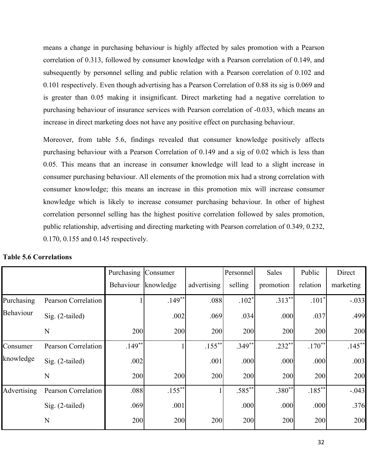means a change in purchasing behaviour is highly affected by sales promotion with a Pearson correlation of 0.313, followed by consumer knowledge with a Pearson correlation of 0.149, and subsequently by personnel selling and public relation with a Pearson correlation of 0.102 and 0.101 respectively. Even though advertising has a Pearson Correlation of 0.88 its sig is 0.069 and is greater than 0.05 making it insignificant. Direct marketing had a negative correlation to purchasing behaviour of insurance services with Pearson correlation of -0.033, which means an increase in direct marketing does not have any positive effect on purchasing behaviour.

Moreover, from table 5.6, findings revealed that consumer knowledge positively affects purchasing behaviour with a Pearson Correlation of 0.149 and a sig of 0.02 which is less than 0.05. This means that an increase in consumer knowledge will lead to a slight increase in consumer purchasing behaviour. All elements of the promotion mix had a strong correlation with consumer knowledge; this means an increase in this promotion mix will increase consumer knowledge which is likely to increase consumer purchasing behaviour. In other of highest correlation personnel selling has the highest positive correlation followed by sales promotion, public relationship, advertising and directing marketing with Pearson correlation of 0.349, 0.232, 0.170, 0.155 and 0.145 respectively.

|             |                            | Purchasing Consumer |           |             | Personnel | Sales     | Public    | Direct    |
|-------------|----------------------------|---------------------|-----------|-------------|-----------|-----------|-----------|-----------|
|             |                            | Behaviour           | knowledge | advertising | selling   | promotion | relation  | marketing |
| Purchasing  | Pearson Correlation        |                     | $.149**$  | .088        | $.102*$   | $.313***$ | $.101*$   | $-.033$   |
| Behaviour   | Sig. (2-tailed)            |                     | .002      | .069        | .034      | .000      | .037      | .499      |
|             | N                          | 200                 | 200       | 200         | 200       | 200       | 200       | 200       |
| Consumer    | <b>Pearson Correlation</b> | $.149**$            |           | $.155***$   | $.349**$  | $.232**$  | $.170***$ | $.145***$ |
| knowledge   | Sig. (2-tailed)            | .002                |           | .001        | .000      | .000      | .000      | .003      |
|             | N                          | 200                 | 200       | 200         | 200       | 200       | 200       | 200       |
| Advertising | Pearson Correlation        | .088                | $.155***$ |             | $.585***$ | $.380**$  | $.185**$  | $-.043$   |
|             | Sig. (2-tailed)            | .069                | .001      |             | .000      | .000      | .000      | .376      |
|             | N                          | 200                 | 200       | 200         | 200       | 200       | 200       | 200       |

# **Table 5.6 Correlations**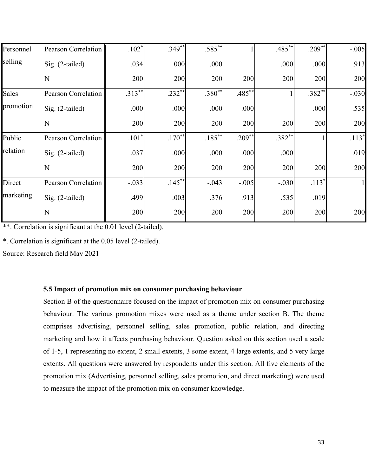| Personnel | <b>Pearson Correlation</b> | $.102*$   | $.349**$  | $.585***$ |           | $.485***$ | $.209***$ | $-.005$      |
|-----------|----------------------------|-----------|-----------|-----------|-----------|-----------|-----------|--------------|
| selling   | $Sig. (2-tailed)$          | .034      | .000      | .000      |           | .000      | .000      | .913         |
|           | $\mathbf N$                | 200       | 200       | 200       | 200       | 200       | 200       | 200          |
| Sales     | Pearson Correlation        | $.313***$ | $.232**$  | $.380**$  | $.485***$ |           | $.382**$  | $-.030$      |
| promotion | Sig. (2-tailed)            | .000      | .000      | .000      | .000      |           | .000      | .535         |
|           | $\mathbf N$                | 200       | 200       | 200       | 200       | 200       | 200       | 200          |
| Public    | <b>Pearson Correlation</b> | $.101*$   | $.170**$  | $.185***$ | $.209***$ | $.382**$  |           | $.113*$      |
| relation  | $Sig. (2-tailed)$          | .037      | .000      | .000      | .000      | .000      |           | .019         |
|           | $\mathbf N$                | 200       | 200       | 200       | 200       | 200       | 200       | 200          |
| Direct    | <b>Pearson Correlation</b> | $-.033$   | $.145***$ | $-.043$   | $-.005$   | $-.030$   | $.113*$   | $\mathbf{1}$ |
| marketing | Sig. (2-tailed)            | .499      | .003      | .376      | .913      | .535      | .019      |              |
|           | $\mathbf N$                | 200       | 200       | 200       | 200       | 200       | 200       | 200          |

\*\*. Correlation is significant at the 0.01 level (2-tailed).

\*. Correlation is significant at the 0.05 level (2-tailed).

Source: Research field May 2021

# **5.5 Impact of promotion mix on consumer purchasing behaviour**

Section B of the questionnaire focused on the impact of promotion mix on consumer purchasing behaviour. The various promotion mixes were used as a theme under section B. The theme comprises advertising, personnel selling, sales promotion, public relation, and directing marketing and how it affects purchasing behaviour. Question asked on this section used a scale of 1-5, 1 representing no extent, 2 small extents, 3 some extent, 4 large extents, and 5 very large extents. All questions were answered by respondents under this section. All five elements of the promotion mix (Advertising, personnel selling, sales promotion, and direct marketing) were used to measure the impact of the promotion mix on consumer knowledge.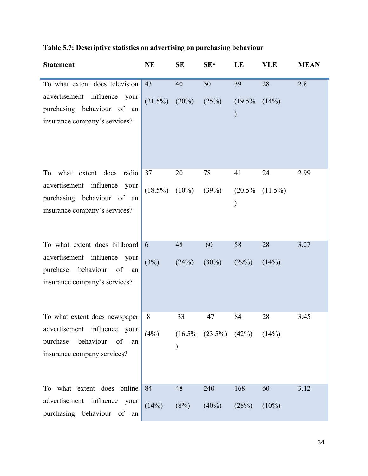|  |  |  |  | Table 5.7: Descriptive statistics on advertising on purchasing behaviour |  |
|--|--|--|--|--------------------------------------------------------------------------|--|
|  |  |  |  |                                                                          |  |
|  |  |  |  |                                                                          |  |
|  |  |  |  |                                                                          |  |

| <b>Statement</b>                                                                                                                    | <b>NE</b>        | <b>SE</b>      | $SE^*$                              | LE                               | <b>VLE</b>       | <b>MEAN</b> |
|-------------------------------------------------------------------------------------------------------------------------------------|------------------|----------------|-------------------------------------|----------------------------------|------------------|-------------|
| To what extent does television<br>advertisement influence your<br>purchasing behaviour of an<br>insurance company's services?       | 43<br>$(21.5\%)$ | 40<br>$(20\%)$ | 50<br>(25%)                         | 39<br>$(19.5\%$<br>$\mathcal{)}$ | 28<br>(14%)      | 2.8         |
| To what extent does radio<br>advertisement influence your<br>purchasing behaviour of an<br>insurance company's services?            | 37<br>$(18.5\%)$ | 20<br>$(10\%)$ | 78<br>(39%)                         | 41<br>$(20.5\%$<br>$\mathcal{)}$ | 24<br>$(11.5\%)$ | 2.99        |
| To what extent does billboard<br>advertisement influence your<br>behaviour<br>purchase<br>of<br>an<br>insurance company's services? | 6<br>(3%)        | 48<br>(24%)    | 60<br>$(30\%)$                      | 58<br>(29%)                      | 28<br>(14%)      | 3.27        |
| To what extent does newspaper<br>advertisement influence your<br>behaviour<br>purchase<br>of<br>an<br>insurance company services?   | 8<br>(4%)        | 33             | 47<br>$(16.5\% \t(23.5\%) \t(42\%)$ | 84                               | 28<br>(14%)      | 3.45        |
| To what extent does online<br>advertisement influence your<br>purchasing behaviour of<br>an                                         | 84<br>(14%)      | 48<br>(8%)     | 240<br>$(40\%)$                     | 168<br>(28%)                     | 60<br>$(10\%)$   | 3.12        |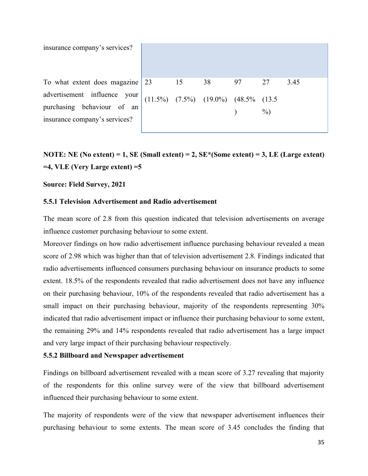insurance company's services?

To what extent does magazine advertisement influence your purchasing behaviour of an insurance company's services? 23



**NOTE: NE (No extent) = 1, SE (Small extent) = 2, SE\*(Some extent) = 3, LE (Large extent) =4, VLE (Very Large extent) =5** 

#### **Source: Field Survey, 2021**

# **5.5.1 Television Advertisement and Radio advertisement**

The mean score of 2.8 from this question indicated that television advertisements on average influence customer purchasing behaviour to some extent.

Moreover findings on how radio advertisement influence purchasing behaviour revealed a mean score of 2.98 which was higher than that of television advertisement 2.8. Findings indicated that radio advertisements influenced consumers purchasing behaviour on insurance products to some extent. 18.5% of the respondents revealed that radio advertisement does not have any influence on their purchasing behaviour, 10% of the respondents revealed that radio advertisement has a small impact on their purchasing behaviour, majority of the respondents representing 30% indicated that radio advertisement impact or influence their purchasing behaviour to some extent, the remaining 29% and 14% respondents revealed that radio advertisement has a large impact and very large impact of their purchasing behaviour respectively.

#### **5.5.2 Billboard and Newspaper advertisement**

Findings on billboard advertisement revealed with a mean score of 3.27 revealing that majority of the respondents for this online survey were of the view that billboard advertisement influenced their purchasing behaviour to some extent.

The majority of respondents were of the view that newspaper advertisement influences their purchasing behaviour to some extents. The mean score of 3.45 concludes the finding that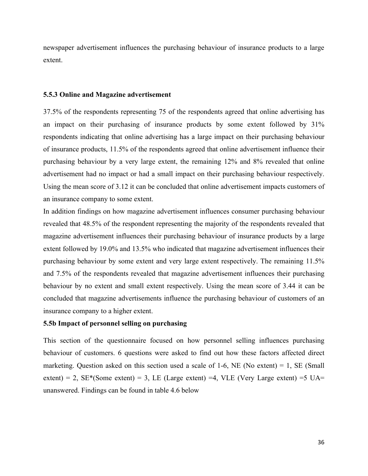newspaper advertisement influences the purchasing behaviour of insurance products to a large extent.

#### **5.5.3 Online and Magazine advertisement**

37.5% of the respondents representing 75 of the respondents agreed that online advertising has an impact on their purchasing of insurance products by some extent followed by 31% respondents indicating that online advertising has a large impact on their purchasing behaviour of insurance products, 11.5% of the respondents agreed that online advertisement influence their purchasing behaviour by a very large extent, the remaining 12% and 8% revealed that online advertisement had no impact or had a small impact on their purchasing behaviour respectively. Using the mean score of 3.12 it can be concluded that online advertisement impacts customers of an insurance company to some extent.

In addition findings on how magazine advertisement influences consumer purchasing behaviour revealed that 48.5% of the respondent representing the majority of the respondents revealed that magazine advertisement influences their purchasing behaviour of insurance products by a large extent followed by 19.0% and 13.5% who indicated that magazine advertisement influences their purchasing behaviour by some extent and very large extent respectively. The remaining 11.5% and 7.5% of the respondents revealed that magazine advertisement influences their purchasing behaviour by no extent and small extent respectively. Using the mean score of 3.44 it can be concluded that magazine advertisements influence the purchasing behaviour of customers of an insurance company to a higher extent.

## **5.5b Impact of personnel selling on purchasing**

This section of the questionnaire focused on how personnel selling influences purchasing behaviour of customers. 6 questions were asked to find out how these factors affected direct marketing. Question asked on this section used a scale of 1-6, NE (No extent) = 1, SE (Small extent) = 2,  $SE*(Some extent) = 3$ , LE (Large extent) = 4, VLE (Very Large extent) = 5 UA= unanswered. Findings can be found in table 4.6 below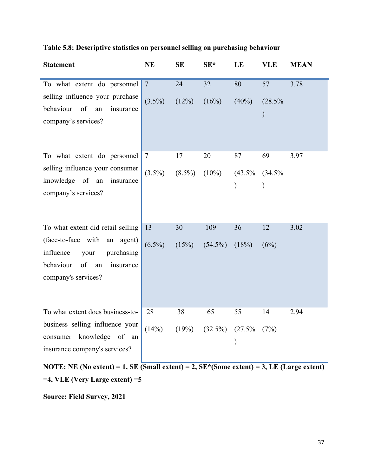|  | Table 5.8: Descriptive statistics on personnel selling on purchasing behaviour |
|--|--------------------------------------------------------------------------------|
|  |                                                                                |

| <b>Statement</b>                                                                                                                                                  | <b>NE</b>                   | <b>SE</b>       | $SE^*$            | LE                               | <b>VLE</b>                    | <b>MEAN</b> |
|-------------------------------------------------------------------------------------------------------------------------------------------------------------------|-----------------------------|-----------------|-------------------|----------------------------------|-------------------------------|-------------|
| To what extent do personnel<br>selling influence your purchase<br>behaviour<br>of<br>insurance<br>an<br>company's services?                                       | $\overline{7}$<br>$(3.5\%)$ | 24<br>$(12\%)$  | 32<br>(16%)       | 80<br>$(40\%)$                   | 57<br>(28.5%<br>$\mathcal{E}$ | 3.78        |
| To what extent do personnel<br>selling influence your consumer<br>knowledge of an<br>insurance<br>company's services?                                             | $\tau$<br>$(3.5\%)$         | 17<br>$(8.5\%)$ | 20<br>$(10\%)$    | 87<br>$(43.5\%$<br>$\mathcal{E}$ | 69<br>(34.5%<br>$\mathcal{E}$ | 3.97        |
| To what extent did retail selling<br>(face-to-face with an agent)<br>influence<br>your<br>purchasing<br>behaviour<br>of<br>insurance<br>an<br>company's services? | 13<br>$(6.5\%)$             | 30<br>(15%)     | 109<br>$(54.5\%)$ | 36<br>(18%)                      | 12<br>(6%)                    | 3.02        |
| To what extent does business-to-<br>business selling influence your<br>consumer knowledge of an<br>insurance company's services?                                  | 28<br>(14%)                 | 38<br>(19%)     | 65<br>$(32.5\%)$  | 55<br>$(27.5\%$<br>$)$           | 14<br>(7%)                    | 2.94        |

**NOTE: NE (No extent) = 1, SE (Small extent) = 2, SE\*(Some extent) = 3, LE (Large extent) =4, VLE (Very Large extent) =5** 

**Source: Field Survey, 2021**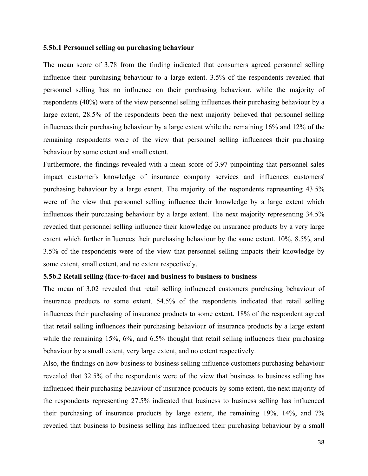#### **5.5b.1 Personnel selling on purchasing behaviour**

The mean score of 3.78 from the finding indicated that consumers agreed personnel selling influence their purchasing behaviour to a large extent. 3.5% of the respondents revealed that personnel selling has no influence on their purchasing behaviour, while the majority of respondents (40%) were of the view personnel selling influences their purchasing behaviour by a large extent, 28.5% of the respondents been the next majority believed that personnel selling influences their purchasing behaviour by a large extent while the remaining 16% and 12% of the remaining respondents were of the view that personnel selling influences their purchasing behaviour by some extent and small extent.

Furthermore, the findings revealed with a mean score of 3.97 pinpointing that personnel sales impact customer's knowledge of insurance company services and influences customers' purchasing behaviour by a large extent. The majority of the respondents representing 43.5% were of the view that personnel selling influence their knowledge by a large extent which influences their purchasing behaviour by a large extent. The next majority representing 34.5% revealed that personnel selling influence their knowledge on insurance products by a very large extent which further influences their purchasing behaviour by the same extent. 10%, 8.5%, and 3.5% of the respondents were of the view that personnel selling impacts their knowledge by some extent, small extent, and no extent respectively.

#### **5.5b.2 Retail selling (face-to-face) and business to business to business**

The mean of 3.02 revealed that retail selling influenced customers purchasing behaviour of insurance products to some extent. 54.5% of the respondents indicated that retail selling influences their purchasing of insurance products to some extent. 18% of the respondent agreed that retail selling influences their purchasing behaviour of insurance products by a large extent while the remaining 15%, 6%, and 6.5% thought that retail selling influences their purchasing behaviour by a small extent, very large extent, and no extent respectively.

Also, the findings on how business to business selling influence customers purchasing behaviour revealed that 32.5% of the respondents were of the view that business to business selling has influenced their purchasing behaviour of insurance products by some extent, the next majority of the respondents representing 27.5% indicated that business to business selling has influenced their purchasing of insurance products by large extent, the remaining 19%, 14%, and 7% revealed that business to business selling has influenced their purchasing behaviour by a small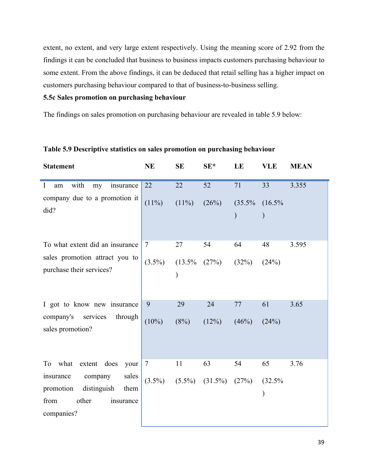extent, no extent, and very large extent respectively. Using the meaning score of 2.92 from the findings it can be concluded that business to business impacts customers purchasing behaviour to some extent. From the above findings, it can be deduced that retail selling has a higher impact on customers purchasing behaviour compared to that of business-to-business selling.

# **5.5c Sales promotion on purchasing behaviour**

The findings on sales promotion on purchasing behaviour are revealed in table 5.9 below:

| <b>Statement</b>                                                                                              | <b>NE</b> | <b>SE</b> | $SE*$      | LE                         | <b>VLE</b>              | <b>MEAN</b> |
|---------------------------------------------------------------------------------------------------------------|-----------|-----------|------------|----------------------------|-------------------------|-------------|
| $\mathbf I$<br>with<br>insurance<br>am<br>my                                                                  | 22        | 22        | 52         | 71                         | 33                      | 3.355       |
| company due to a promotion it<br>did?                                                                         | $(11\%)$  | $(11\%)$  | (26%)      | $(35.5\%$<br>$\mathcal{E}$ | $(16.5\%$               |             |
| To what extent did an insurance                                                                               | $\tau$    | 27        | 54         | 64                         | 48                      | 3.595       |
| sales promotion attract you to<br>purchase their services?                                                    | $(3.5\%)$ | $(13.5\%$ | (27%)      | (32%)                      | (24%)                   |             |
| I got to know new insurance                                                                                   | 9         | 29        | 24         | 77                         | 61                      | 3.65        |
| company's<br>services<br>through<br>sales promotion?                                                          | $(10\%)$  | (8%)      | (12%)      | (46%)                      | (24%)                   |             |
| what extent does<br>To<br>your                                                                                | $\tau$    | 11        | 63         | 54                         | 65                      | 3.76        |
| sales<br>insurance<br>company<br>distinguish<br>promotion<br>them<br>other<br>from<br>insurance<br>companies? | $(3.5\%)$ | $(5.5\%)$ | $(31.5\%)$ | (27%)                      | (32.5%<br>$\mathcal{Y}$ |             |

# **Table 5.9 Descriptive statistics on sales promotion on purchasing behaviour**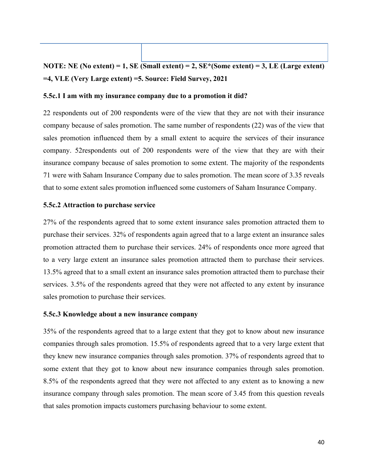# **NOTE: NE (No extent) = 1, SE (Small extent) = 2, SE\*(Some extent) = 3, LE (Large extent) =4, VLE (Very Large extent) =5. Source: Field Survey, 2021**

## **5.5c.1 I am with my insurance company due to a promotion it did?**

22 respondents out of 200 respondents were of the view that they are not with their insurance company because of sales promotion. The same number of respondents (22) was of the view that sales promotion influenced them by a small extent to acquire the services of their insurance company. 52respondents out of 200 respondents were of the view that they are with their insurance company because of sales promotion to some extent. The majority of the respondents 71 were with Saham Insurance Company due to sales promotion. The mean score of 3.35 reveals that to some extent sales promotion influenced some customers of Saham Insurance Company.

## **5.5c.2 Attraction to purchase service**

27% of the respondents agreed that to some extent insurance sales promotion attracted them to purchase their services. 32% of respondents again agreed that to a large extent an insurance sales promotion attracted them to purchase their services. 24% of respondents once more agreed that to a very large extent an insurance sales promotion attracted them to purchase their services. 13.5% agreed that to a small extent an insurance sales promotion attracted them to purchase their services. 3.5% of the respondents agreed that they were not affected to any extent by insurance sales promotion to purchase their services.

#### **5.5c.3 Knowledge about a new insurance company**

35% of the respondents agreed that to a large extent that they got to know about new insurance companies through sales promotion. 15.5% of respondents agreed that to a very large extent that they knew new insurance companies through sales promotion. 37% of respondents agreed that to some extent that they got to know about new insurance companies through sales promotion. 8.5% of the respondents agreed that they were not affected to any extent as to knowing a new insurance company through sales promotion. The mean score of 3.45 from this question reveals that sales promotion impacts customers purchasing behaviour to some extent.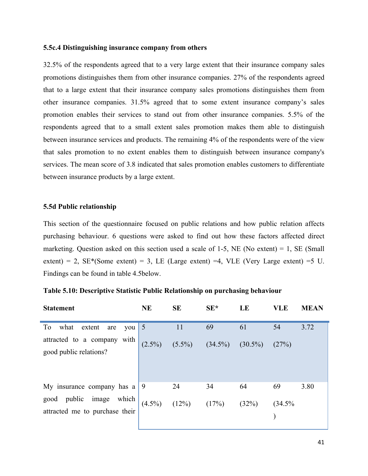# **5.5c.4 Distinguishing insurance company from others**

32.5% of the respondents agreed that to a very large extent that their insurance company sales promotions distinguishes them from other insurance companies. 27% of the respondents agreed that to a large extent that their insurance company sales promotions distinguishes them from other insurance companies. 31.5% agreed that to some extent insurance company's sales promotion enables their services to stand out from other insurance companies. 5.5% of the respondents agreed that to a small extent sales promotion makes them able to distinguish between insurance services and products. The remaining 4% of the respondents were of the view that sales promotion to no extent enables them to distinguish between insurance company's services. The mean score of 3.8 indicated that sales promotion enables customers to differentiate between insurance products by a large extent.

## **5.5d Public relationship**

This section of the questionnaire focused on public relations and how public relation affects purchasing behaviour. 6 questions were asked to find out how these factors affected direct marketing. Question asked on this section used a scale of 1-5, NE (No extent) = 1, SE (Small extent) = 2,  $SE*(Some extent) = 3$ , LE (Large extent) =4, VLE (Very Large extent) =5 U. Findings can be found in table 4.5below.

| <b>Statement</b>                                          | <b>NE</b>      | <b>SE</b>                                 | $SE^*$ | LE    | <b>VLE</b> | <b>MEAN</b> |
|-----------------------------------------------------------|----------------|-------------------------------------------|--------|-------|------------|-------------|
| what<br>To<br>extent are<br>you                           | $\overline{5}$ | 11                                        | 69     | 61    | 54         | 3.72        |
| attracted to a company with<br>good public relations?     |                | $(2.5\%)$ $(5.5\%)$ $(34.5\%)$ $(30.5\%)$ |        |       | (27%)      |             |
| My insurance company has $a \mid 9$                       |                | 24                                        | 34     | 64    | 69         | 3.80        |
| good public image which<br>attracted me to purchase their | $(4.5\%)$      | (12%) $(17\%)$                            |        | (32%) | (34.5%     |             |

#### **Table 5.10: Descriptive Statistic Public Relationship on purchasing behaviour**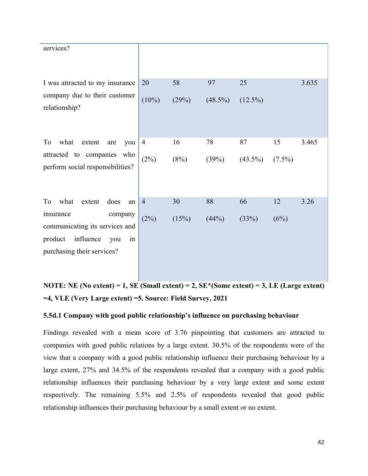| 20             | 58                                                                                                                    | 97         | 25         |           | 3.635 |
|----------------|-----------------------------------------------------------------------------------------------------------------------|------------|------------|-----------|-------|
| $(10\%)$       | (29%)                                                                                                                 | $(48.5\%)$ | $(12.5\%)$ |           |       |
| $\overline{4}$ | 16                                                                                                                    | 78         | 87         | 15        | 3.465 |
| (2%)           | $(8\%)$                                                                                                               | (39%)      | $(43.5\%)$ | $(7.5\%)$ |       |
| $\overline{4}$ | 30                                                                                                                    | 88         | 66         | 12        | 3.26  |
| (2%)           | (15%)                                                                                                                 | (44%)      | (33%)      | (6%)      |       |
|                | I was attracted to my insurance<br>company due to their customer<br>you<br>an<br>communicating its services and<br>in |            |            |           |       |

**NOTE: NE (No extent) = 1, SE (Small extent) = 2, SE\*(Some extent) = 3, LE (Large extent) =4, VLE (Very Large extent) =5. Source: Field Survey, 2021**

# **5.5d.1 Company with good public relationship's influence on purchasing behaviour**

Findings revealed with a mean score of 3.76 pinpointing that customers are attracted to companies with good public relations by a large extent. 30.5% of the respondents were of the view that a company with a good public relationship influence their purchasing behaviour by a large extent, 27% and 34.5% of the respondents revealed that a company with a good public relationship influences their purchasing behaviour by a very large extent and some extent respectively. The remaining 5.5% and 2.5% of respondents revealed that good public relationship influences their purchasing behaviour by a small extent or no extent.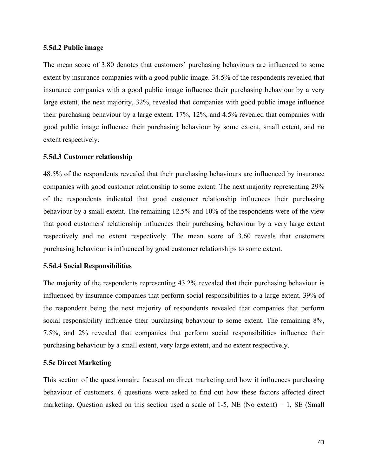#### **5.5d.2 Public image**

The mean score of 3.80 denotes that customers' purchasing behaviours are influenced to some extent by insurance companies with a good public image. 34.5% of the respondents revealed that insurance companies with a good public image influence their purchasing behaviour by a very large extent, the next majority, 32%, revealed that companies with good public image influence their purchasing behaviour by a large extent. 17%, 12%, and 4.5% revealed that companies with good public image influence their purchasing behaviour by some extent, small extent, and no extent respectively.

#### **5.5d.3 Customer relationship**

48.5% of the respondents revealed that their purchasing behaviours are influenced by insurance companies with good customer relationship to some extent. The next majority representing 29% of the respondents indicated that good customer relationship influences their purchasing behaviour by a small extent. The remaining 12.5% and 10% of the respondents were of the view that good customers' relationship influences their purchasing behaviour by a very large extent respectively and no extent respectively. The mean score of 3.60 reveals that customers purchasing behaviour is influenced by good customer relationships to some extent.

## **5.5d.4 Social Responsibilities**

The majority of the respondents representing 43.2% revealed that their purchasing behaviour is influenced by insurance companies that perform social responsibilities to a large extent. 39% of the respondent being the next majority of respondents revealed that companies that perform social responsibility influence their purchasing behaviour to some extent. The remaining 8%, 7.5%, and 2% revealed that companies that perform social responsibilities influence their purchasing behaviour by a small extent, very large extent, and no extent respectively.

## **5.5e Direct Marketing**

This section of the questionnaire focused on direct marketing and how it influences purchasing behaviour of customers. 6 questions were asked to find out how these factors affected direct marketing. Question asked on this section used a scale of 1-5, NE (No extent) = 1, SE (Small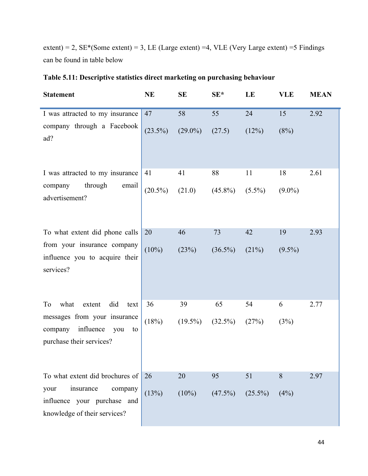extent) = 2,  $SE*(Some extent) = 3$ , LE (Large extent) = 4, VLE (Very Large extent) = 5 Findings can be found in table below

| <b>Statement</b>                                                                                                                     | <b>NE</b>        | <b>SE</b>        | $SE^*$           | LE               | <b>VLE</b>      | <b>MEAN</b> |
|--------------------------------------------------------------------------------------------------------------------------------------|------------------|------------------|------------------|------------------|-----------------|-------------|
| I was attracted to my insurance<br>company through a Facebook<br>ad?                                                                 | 47<br>$(23.5\%)$ | 58<br>$(29.0\%)$ | 55<br>(27.5)     | 24<br>(12%)      | 15<br>(8%)      | 2.92        |
| I was attracted to my insurance<br>through<br>company<br>email<br>advertisement?                                                     | 41<br>$(20.5\%)$ | 41<br>(21.0)     | 88<br>$(45.8\%)$ | 11<br>$(5.5\%)$  | 18<br>$(9.0\%)$ | 2.61        |
| To what extent did phone calls<br>from your insurance company<br>influence you to acquire their<br>services?                         | 20<br>$(10\%)$   | 46<br>(23%)      | 73<br>$(36.5\%)$ | 42<br>(21%)      | 19<br>$(9.5\%)$ | 2.93        |
| what<br>extent<br>did<br>To<br>text<br>messages from your insurance<br>influence<br>company<br>you<br>to<br>purchase their services? | 36<br>(18%)      | 39<br>$(19.5\%)$ | 65<br>$(32.5\%)$ | 54<br>(27%)      | 6<br>(3%)       | 2.77        |
| To what extent did brochures of<br>insurance<br>your<br>company<br>influence your purchase and<br>knowledge of their services?       | 26<br>(13%)      | 20<br>$(10\%)$   | 95<br>$(47.5\%)$ | 51<br>$(25.5\%)$ | 8<br>(4%)       | 2.97        |

# **Table 5.11: Descriptive statistics direct marketing on purchasing behaviour**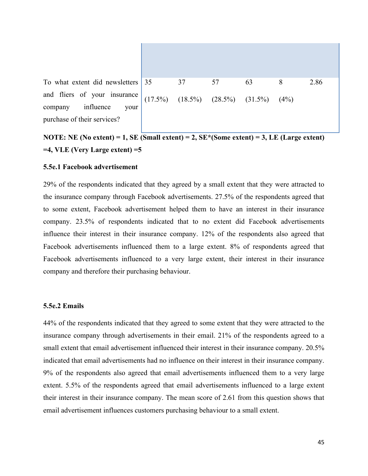

To what extent did newsletters and fliers of your insurance company influence your purchase of their services?

# **NOTE: NE (No extent) = 1, SE (Small extent) = 2, SE\*(Some extent) = 3, LE (Large extent) =4, VLE (Very Large extent) =5**

## **5.5e.1 Facebook advertisement**

29% of the respondents indicated that they agreed by a small extent that they were attracted to the insurance company through Facebook advertisements. 27.5% of the respondents agreed that to some extent, Facebook advertisement helped them to have an interest in their insurance company. 23.5% of respondents indicated that to no extent did Facebook advertisements influence their interest in their insurance company. 12% of the respondents also agreed that Facebook advertisements influenced them to a large extent. 8% of respondents agreed that Facebook advertisements influenced to a very large extent, their interest in their insurance company and therefore their purchasing behaviour.

#### **5.5e.2 Emails**

44% of the respondents indicated that they agreed to some extent that they were attracted to the insurance company through advertisements in their email. 21% of the respondents agreed to a small extent that email advertisement influenced their interest in their insurance company. 20.5% indicated that email advertisements had no influence on their interest in their insurance company. 9% of the respondents also agreed that email advertisements influenced them to a very large extent. 5.5% of the respondents agreed that email advertisements influenced to a large extent their interest in their insurance company. The mean score of 2.61 from this question shows that email advertisement influences customers purchasing behaviour to a small extent.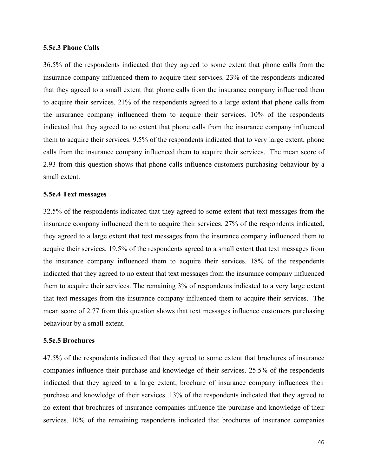## **5.5e.3 Phone Calls**

36.5% of the respondents indicated that they agreed to some extent that phone calls from the insurance company influenced them to acquire their services. 23% of the respondents indicated that they agreed to a small extent that phone calls from the insurance company influenced them to acquire their services. 21% of the respondents agreed to a large extent that phone calls from the insurance company influenced them to acquire their services. 10% of the respondents indicated that they agreed to no extent that phone calls from the insurance company influenced them to acquire their services. 9.5% of the respondents indicated that to very large extent, phone calls from the insurance company influenced them to acquire their services. The mean score of 2.93 from this question shows that phone calls influence customers purchasing behaviour by a small extent.

#### **5.5e.4 Text messages**

32.5% of the respondents indicated that they agreed to some extent that text messages from the insurance company influenced them to acquire their services. 27% of the respondents indicated, they agreed to a large extent that text messages from the insurance company influenced them to acquire their services. 19.5% of the respondents agreed to a small extent that text messages from the insurance company influenced them to acquire their services. 18% of the respondents indicated that they agreed to no extent that text messages from the insurance company influenced them to acquire their services. The remaining 3% of respondents indicated to a very large extent that text messages from the insurance company influenced them to acquire their services. The mean score of 2.77 from this question shows that text messages influence customers purchasing behaviour by a small extent.

## **5.5e.5 Brochures**

47.5% of the respondents indicated that they agreed to some extent that brochures of insurance companies influence their purchase and knowledge of their services. 25.5% of the respondents indicated that they agreed to a large extent, brochure of insurance company influences their purchase and knowledge of their services. 13% of the respondents indicated that they agreed to no extent that brochures of insurance companies influence the purchase and knowledge of their services. 10% of the remaining respondents indicated that brochures of insurance companies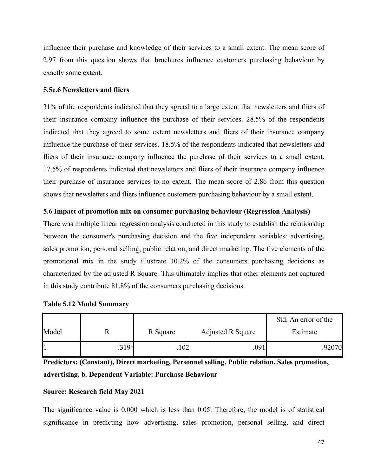influence their purchase and knowledge of their services to a small extent. The mean score of 2.97 from this question shows that brochures influence customers purchasing behaviour by exactly some extent.

# **5.5e.6 Newsletters and fliers**

31% of the respondents indicated that they agreed to a large extent that newsletters and fliers of their insurance company influence the purchase of their services. 28.5% of the respondents indicated that they agreed to some extent newsletters and fliers of their insurance company influence the purchase of their services. 18.5% of the respondents indicated that newsletters and fliers of their insurance company influence the purchase of their services to a small extent. 17.5% of respondents indicated that newsletters and fliers of their insurance company influence their purchase of insurance services to no extent. The mean score of 2.86 from this question shows that newsletters and fliers influence customers purchasing behaviour by a small extent.

# **5.6 Impact of promotion mix on consumer purchasing behaviour (Regression Analysis)**

There was multiple linear regression analysis conducted in this study to establish the relationship between the consumer's purchasing decision and the five independent variables: advertising, sales promotion, personal selling, public relation, and direct marketing. The five elements of the promotional mix in the study illustrate 10.2% of the consumers purchasing decisions as characterized by the adjusted R Square. This ultimately implies that other elements not captured in this study contribute 81.8% of the consumers purchasing decisions.

|  |  |  | <b>Table 5.12 Model Summary</b> |
|--|--|--|---------------------------------|
|--|--|--|---------------------------------|

|       |                   |          |                          | Std. An error of the |
|-------|-------------------|----------|--------------------------|----------------------|
| Model |                   | R Square | <b>Adjusted R Square</b> | Estimate             |
|       | .319 <sup>a</sup> | 102      | .091                     | .92070               |

**Predictors: (Constant), Direct marketing, Personnel selling, Public relation, Sales promotion, advertising. b. Dependent Variable: Purchase Behaviour**

# **Source: Research field May 2021**

The significance value is 0.000 which is less than 0.05. Therefore, the model is of statistical significance in predicting how advertising, sales promotion, personal selling, and direct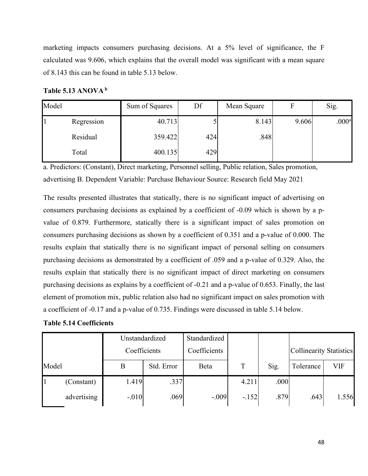marketing impacts consumers purchasing decisions. At a 5% level of significance, the F calculated was 9.606, which explains that the overall model was significant with a mean square of 8.143 this can be found in table 5.13 below.

**Table 5.13 ANOVA <sup>b</sup>**

| Model      | Sum of Squares | Df  | Mean Square | F     | Sig.              |
|------------|----------------|-----|-------------|-------|-------------------|
| Regression | 40.713         |     | 8.143       | 9.606 | .000 <sup>a</sup> |
| Residual   | 359.422        | 424 | .848        |       |                   |
| Total      | 400.135        | 429 |             |       |                   |

a. Predictors: (Constant), Direct marketing, Personnel selling, Public relation, Sales promotion, advertising B. Dependent Variable: Purchase Behaviour Source: Research field May 2021

The results presented illustrates that statically, there is no significant impact of advertising on consumers purchasing decisions as explained by a coefficient of -0.09 which is shown by a pvalue of 0.879. Furthermore, statically there is a significant impact of sales promotion on consumers purchasing decisions as shown by a coefficient of 0.351 and a p-value of 0.000. The results explain that statically there is no significant impact of personal selling on consumers purchasing decisions as demonstrated by a coefficient of .059 and a p-value of 0.329. Also, the results explain that statically there is no significant impact of direct marketing on consumers purchasing decisions as explains by a coefficient of -0.21 and a p-value of 0.653. Finally, the last element of promotion mix, public relation also had no significant impact on sales promotion with a coefficient of -0.17 and a p-value of 0.735. Findings were discussed in table 5.14 below.

|  |  | <b>Table 5.14 Coefficients</b> |
|--|--|--------------------------------|
|--|--|--------------------------------|

|       |             | Unstandardized |            | Standardized |         |      |                                |       |
|-------|-------------|----------------|------------|--------------|---------|------|--------------------------------|-------|
|       |             | Coefficients   |            | Coefficients |         |      | <b>Collinearity Statistics</b> |       |
| Model |             | B              | Std. Error | Beta         | T       | Sig. | Tolerance                      | VIF   |
|       | (Constant)  | 1.419          | .337       |              | 4.211   | .000 |                                |       |
|       | advertising | $-.010$        | .069       | $-.009$      | $-.152$ | .879 | .643                           | 1.556 |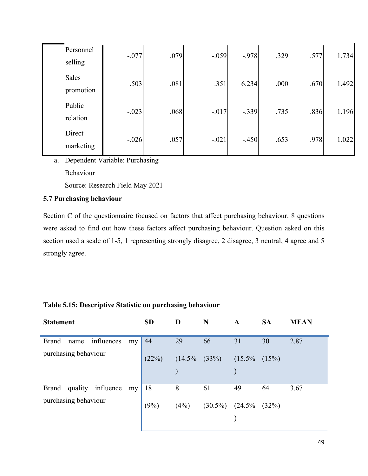| Personnel<br>selling | $-.077$ | .079 | $-.059$ | $-.978$ | .329 | .577 | 1.734 |
|----------------------|---------|------|---------|---------|------|------|-------|
| Sales<br>promotion   | .503    | .081 | .351    | 6.234   | .000 | .670 | 1.492 |
| Public<br>relation   | $-.023$ | .068 | $-.017$ | $-.339$ | .735 | .836 | 1.196 |
| Direct<br>marketing  | $-.026$ | .057 | $-.021$ | $-.450$ | .653 | .978 | 1.022 |

a. Dependent Variable: Purchasing Behaviour Source: Research Field May 2021

# **5.7 Purchasing behaviour**

Section C of the questionnaire focused on factors that affect purchasing behaviour. 8 questions were asked to find out how these factors affect purchasing behaviour. Question asked on this section used a scale of 1-5, 1 representing strongly disagree, 2 disagree, 3 neutral, 4 agree and 5 strongly agree.

| <b>Statement</b>                         | <b>SD</b> | D    | N                      | A                  | <b>SA</b> | <b>MEAN</b> |
|------------------------------------------|-----------|------|------------------------|--------------------|-----------|-------------|
| influences<br><b>Brand</b><br>name<br>my | 44        | 29   | 66                     | 31                 | 30        | 2.87        |
| purchasing behaviour                     | (22%)     |      | $(14.5\% \quad (33\%)$ | $(15.5\% \t(15\%)$ |           |             |
| Brand quality influence<br>my            | 18        | 8    | 61                     | 49                 | 64        | 3.67        |
| purchasing behaviour                     | (9%)      | (4%) | $(30.5\%)$             | $(24.5\%)(32\%)$   |           |             |

# **Table 5.15: Descriptive Statistic on purchasing behaviour**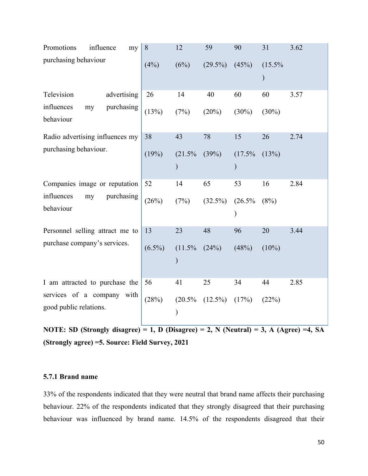| Promotions<br>influence<br>my                        | 8         | 12        | 59         | 90                      | 31        | 3.62 |
|------------------------------------------------------|-----------|-----------|------------|-------------------------|-----------|------|
| purchasing behaviour                                 | (4%)      | (6%)      | $(29.5\%)$ | (45%)                   | $(15.5\%$ |      |
| Television<br>advertising                            | 26        | 14        | 40         | 60                      | 60        | 3.57 |
| influences<br>purchasing<br>my<br>behaviour          | (13%)     | (7%)      | (20%)      | $(30\%)$                | $(30\%)$  |      |
| Radio advertising influences my                      | 38        | 43        | 78         | 15                      | 26        | 2.74 |
| purchasing behaviour.                                | (19%)     | (21.5%    | (39%)      | $(17.5\%$               | (13%)     |      |
| Companies image or reputation                        | 52        | 14        | 65         | 53                      | 16        | 2.84 |
| influences<br>purchasing<br>my<br>behaviour          | (26%)     | (7%)      | $(32.5\%)$ | (26.5%<br>$\mathcal{E}$ | (8%)      |      |
| Personnel selling attract me to                      | 13        | 23        | 48         | 96                      | 20        | 3.44 |
| purchase company's services.                         | $(6.5\%)$ | $(11.5\%$ | (24%)      | (48%)                   | $(10\%)$  |      |
| I am attracted to purchase the                       | 56        | 41        | 25         | 34                      | 44        | 2.85 |
| services of a company with<br>good public relations. | (28%)     | $(20.5\%$ | $(12.5\%)$ | (17%)                   | (22%)     |      |

**NOTE: SD** (Strongly disagree) = 1, D (Disagree) = 2, N (Neutral) = 3, A (Agree) = 4, SA **(Strongly agree) =5. Source: Field Survey, 2021**

# **5.7.1 Brand name**

33% of the respondents indicated that they were neutral that brand name affects their purchasing behaviour. 22% of the respondents indicated that they strongly disagreed that their purchasing behaviour was influenced by brand name. 14.5% of the respondents disagreed that their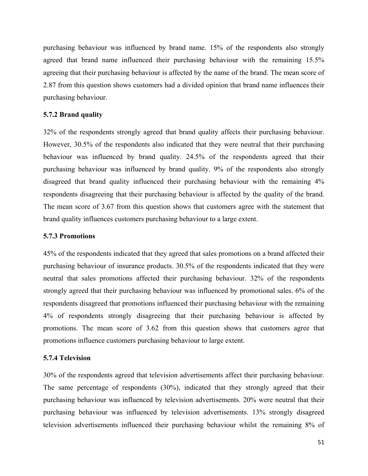purchasing behaviour was influenced by brand name. 15% of the respondents also strongly agreed that brand name influenced their purchasing behaviour with the remaining 15.5% agreeing that their purchasing behaviour is affected by the name of the brand. The mean score of 2.87 from this question shows customers had a divided opinion that brand name influences their purchasing behaviour.

#### **5.7.2 Brand quality**

32% of the respondents strongly agreed that brand quality affects their purchasing behaviour. However, 30.5% of the respondents also indicated that they were neutral that their purchasing behaviour was influenced by brand quality. 24.5% of the respondents agreed that their purchasing behaviour was influenced by brand quality. 9% of the respondents also strongly disagreed that brand quality influenced their purchasing behaviour with the remaining 4% respondents disagreeing that their purchasing behaviour is affected by the quality of the brand. The mean score of 3.67 from this question shows that customers agree with the statement that brand quality influences customers purchasing behaviour to a large extent.

## **5.7.3 Promotions**

45% of the respondents indicated that they agreed that sales promotions on a brand affected their purchasing behaviour of insurance products. 30.5% of the respondents indicated that they were neutral that sales promotions affected their purchasing behaviour. 32% of the respondents strongly agreed that their purchasing behaviour was influenced by promotional sales. 6% of the respondents disagreed that promotions influenced their purchasing behaviour with the remaining 4% of respondents strongly disagreeing that their purchasing behaviour is affected by promotions. The mean score of 3.62 from this question shows that customers agree that promotions influence customers purchasing behaviour to large extent.

## **5.7.4 Television**

30% of the respondents agreed that television advertisements affect their purchasing behaviour. The same percentage of respondents (30%), indicated that they strongly agreed that their purchasing behaviour was influenced by television advertisements. 20% were neutral that their purchasing behaviour was influenced by television advertisements. 13% strongly disagreed television advertisements influenced their purchasing behaviour whilst the remaining 8% of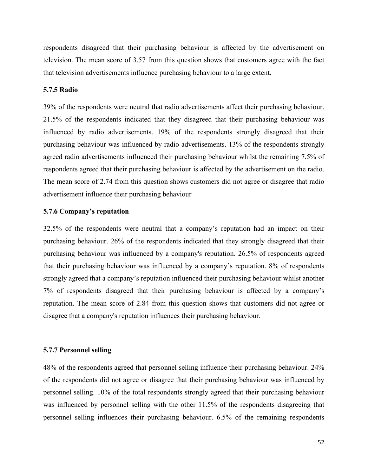respondents disagreed that their purchasing behaviour is affected by the advertisement on television. The mean score of 3.57 from this question shows that customers agree with the fact that television advertisements influence purchasing behaviour to a large extent.

## **5.7.5 Radio**

39% of the respondents were neutral that radio advertisements affect their purchasing behaviour. 21.5% of the respondents indicated that they disagreed that their purchasing behaviour was influenced by radio advertisements. 19% of the respondents strongly disagreed that their purchasing behaviour was influenced by radio advertisements. 13% of the respondents strongly agreed radio advertisements influenced their purchasing behaviour whilst the remaining 7.5% of respondents agreed that their purchasing behaviour is affected by the advertisement on the radio. The mean score of 2.74 from this question shows customers did not agree or disagree that radio advertisement influence their purchasing behaviour

# **5.7.6 Company's reputation**

32.5% of the respondents were neutral that a company's reputation had an impact on their purchasing behaviour. 26% of the respondents indicated that they strongly disagreed that their purchasing behaviour was influenced by a company's reputation. 26.5% of respondents agreed that their purchasing behaviour was influenced by a company's reputation. 8% of respondents strongly agreed that a company's reputation influenced their purchasing behaviour whilst another 7% of respondents disagreed that their purchasing behaviour is affected by a company's reputation. The mean score of 2.84 from this question shows that customers did not agree or disagree that a company's reputation influences their purchasing behaviour.

# **5.7.7 Personnel selling**

48% of the respondents agreed that personnel selling influence their purchasing behaviour. 24% of the respondents did not agree or disagree that their purchasing behaviour was influenced by personnel selling. 10% of the total respondents strongly agreed that their purchasing behaviour was influenced by personnel selling with the other 11.5% of the respondents disagreeing that personnel selling influences their purchasing behaviour. 6.5% of the remaining respondents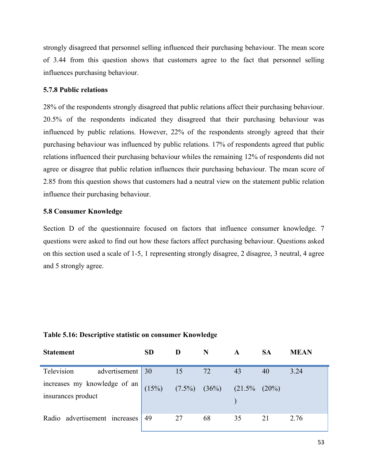strongly disagreed that personnel selling influenced their purchasing behaviour. The mean score of 3.44 from this question shows that customers agree to the fact that personnel selling influences purchasing behaviour.

# **5.7.8 Public relations**

28% of the respondents strongly disagreed that public relations affect their purchasing behaviour. 20.5% of the respondents indicated they disagreed that their purchasing behaviour was influenced by public relations. However, 22% of the respondents strongly agreed that their purchasing behaviour was influenced by public relations. 17% of respondents agreed that public relations influenced their purchasing behaviour whiles the remaining 12% of respondents did not agree or disagree that public relation influences their purchasing behaviour. The mean score of 2.85 from this question shows that customers had a neutral view on the statement public relation influence their purchasing behaviour.

# **5.8 Consumer Knowledge**

Section D of the questionnaire focused on factors that influence consumer knowledge. 7 questions were asked to find out how these factors affect purchasing behaviour. Questions asked on this section used a scale of 1-5, 1 representing strongly disagree, 2 disagree, 3 neutral, 4 agree and 5 strongly agree.

| <b>Statement</b>                                   | <b>SD</b> | D                  | N  | A                   | <b>SA</b> | MEAN |
|----------------------------------------------------|-----------|--------------------|----|---------------------|-----------|------|
| Television<br>advertisement 30                     |           | 15                 | 72 | 43                  | 40        | 3.24 |
| increases my knowledge of an<br>insurances product | (15%)     | $(7.5\%)$ $(36\%)$ |    | $(21.5\% \t (20\%)$ |           |      |
| Radio advertisement increases                      | 49        | 27                 | 68 | 35                  | 21        | 2.76 |

#### **Table 5.16: Descriptive statistic on consumer Knowledge**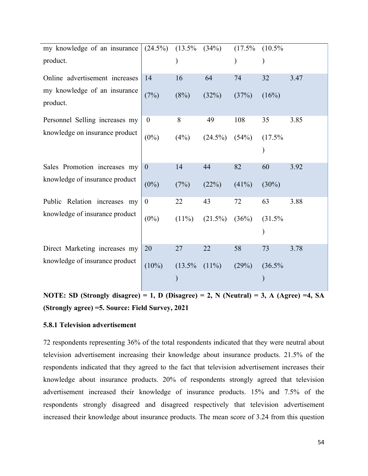| my knowledge of an insurance   | $(24.5\%)$       | (13.5%   | (34%)      | $(17.5\%$ | $(10.5\%$ |      |
|--------------------------------|------------------|----------|------------|-----------|-----------|------|
|                                |                  |          |            |           |           |      |
| product.                       |                  |          |            |           |           |      |
|                                |                  |          |            |           |           |      |
| Online advertisement increases | 14               | 16       | 64         | 74        | 32        | 3.47 |
| my knowledge of an insurance   |                  |          |            |           |           |      |
|                                | (7%)             | (8%)     | (32%)      | (37%)     | (16%)     |      |
| product.                       |                  |          |            |           |           |      |
| Personnel Selling increases my | $\boldsymbol{0}$ | 8        | 49         | 108       | 35        | 3.85 |
|                                |                  |          |            |           |           |      |
| knowledge on insurance product | $(0\%)$          | (4%)     | $(24.5\%)$ | (54%)     | $(17.5\%$ |      |
|                                |                  |          |            |           |           |      |
|                                |                  |          |            |           |           |      |
| Sales Promotion increases my   | $\overline{0}$   | 14       | 44         | 82        | 60        | 3.92 |
|                                |                  |          |            |           |           |      |
| knowledge of insurance product | $(0\%)$          | (7%)     | (22%)      | $(41\%)$  | $(30\%)$  |      |
|                                |                  |          |            |           |           |      |
| Public Relation increases my   | $\theta$         | 22       | 43         | 72        | 63        | 3.88 |
| knowledge of insurance product |                  |          |            |           |           |      |
|                                | $(0\%)$          | $(11\%)$ | $(21.5\%)$ | (36%)     | (31.5%    |      |
|                                |                  |          |            |           |           |      |
|                                |                  |          |            |           |           |      |
| Direct Marketing increases my  | 20               | 27       | 22         | 58        | 73        | 3.78 |
|                                |                  |          |            |           |           |      |
| knowledge of insurance product | $(10\%)$         | (13.5%   | $(11\%)$   | (29%)     | (36.5%    |      |
|                                |                  |          |            |           |           |      |
|                                |                  |          |            |           |           |      |

**NOTE: SD (Strongly disagree) = 1, D (Disagree) = 2, N (Neutral) = 3, A (Agree) =4, SA (Strongly agree) =5. Source: Field Survey, 2021**

# **5.8.1 Television advertisement**

72 respondents representing 36% of the total respondents indicated that they were neutral about television advertisement increasing their knowledge about insurance products. 21.5% of the respondents indicated that they agreed to the fact that television advertisement increases their knowledge about insurance products. 20% of respondents strongly agreed that television advertisement increased their knowledge of insurance products. 15% and 7.5% of the respondents strongly disagreed and disagreed respectively that television advertisement increased their knowledge about insurance products. The mean score of 3.24 from this question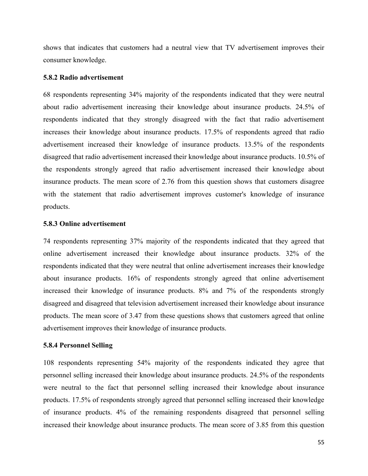shows that indicates that customers had a neutral view that TV advertisement improves their consumer knowledge.

## **5.8.2 Radio advertisement**

68 respondents representing 34% majority of the respondents indicated that they were neutral about radio advertisement increasing their knowledge about insurance products. 24.5% of respondents indicated that they strongly disagreed with the fact that radio advertisement increases their knowledge about insurance products. 17.5% of respondents agreed that radio advertisement increased their knowledge of insurance products. 13.5% of the respondents disagreed that radio advertisement increased their knowledge about insurance products. 10.5% of the respondents strongly agreed that radio advertisement increased their knowledge about insurance products. The mean score of 2.76 from this question shows that customers disagree with the statement that radio advertisement improves customer's knowledge of insurance products.

#### **5.8.3 Online advertisement**

74 respondents representing 37% majority of the respondents indicated that they agreed that online advertisement increased their knowledge about insurance products. 32% of the respondents indicated that they were neutral that online advertisement increases their knowledge about insurance products. 16% of respondents strongly agreed that online advertisement increased their knowledge of insurance products. 8% and 7% of the respondents strongly disagreed and disagreed that television advertisement increased their knowledge about insurance products. The mean score of 3.47 from these questions shows that customers agreed that online advertisement improves their knowledge of insurance products.

# **5.8.4 Personnel Selling**

108 respondents representing 54% majority of the respondents indicated they agree that personnel selling increased their knowledge about insurance products. 24.5% of the respondents were neutral to the fact that personnel selling increased their knowledge about insurance products. 17.5% of respondents strongly agreed that personnel selling increased their knowledge of insurance products. 4% of the remaining respondents disagreed that personnel selling increased their knowledge about insurance products. The mean score of 3.85 from this question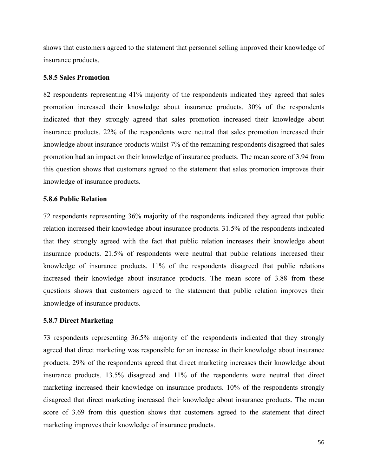shows that customers agreed to the statement that personnel selling improved their knowledge of insurance products.

## **5.8.5 Sales Promotion**

82 respondents representing 41% majority of the respondents indicated they agreed that sales promotion increased their knowledge about insurance products. 30% of the respondents indicated that they strongly agreed that sales promotion increased their knowledge about insurance products. 22% of the respondents were neutral that sales promotion increased their knowledge about insurance products whilst 7% of the remaining respondents disagreed that sales promotion had an impact on their knowledge of insurance products. The mean score of 3.94 from this question shows that customers agreed to the statement that sales promotion improves their knowledge of insurance products.

## **5.8.6 Public Relation**

72 respondents representing 36% majority of the respondents indicated they agreed that public relation increased their knowledge about insurance products. 31.5% of the respondents indicated that they strongly agreed with the fact that public relation increases their knowledge about insurance products. 21.5% of respondents were neutral that public relations increased their knowledge of insurance products. 11% of the respondents disagreed that public relations increased their knowledge about insurance products. The mean score of 3.88 from these questions shows that customers agreed to the statement that public relation improves their knowledge of insurance products.

# **5.8.7 Direct Marketing**

73 respondents representing 36.5% majority of the respondents indicated that they strongly agreed that direct marketing was responsible for an increase in their knowledge about insurance products. 29% of the respondents agreed that direct marketing increases their knowledge about insurance products. 13.5% disagreed and 11% of the respondents were neutral that direct marketing increased their knowledge on insurance products. 10% of the respondents strongly disagreed that direct marketing increased their knowledge about insurance products. The mean score of 3.69 from this question shows that customers agreed to the statement that direct marketing improves their knowledge of insurance products.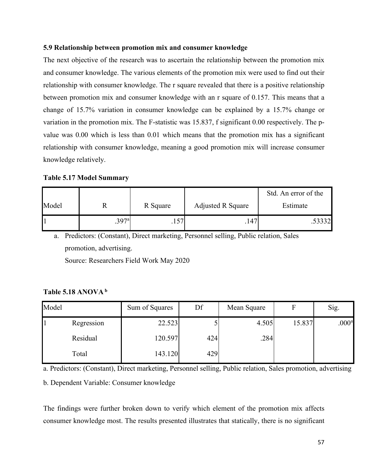# **5.9 Relationship between promotion mix and consumer knowledge**

The next objective of the research was to ascertain the relationship between the promotion mix and consumer knowledge. The various elements of the promotion mix were used to find out their relationship with consumer knowledge. The r square revealed that there is a positive relationship between promotion mix and consumer knowledge with an r square of 0.157. This means that a change of 15.7% variation in consumer knowledge can be explained by a 15.7% change or variation in the promotion mix. The F-statistic was 15.837, f significant 0.00 respectively. The pvalue was 0.00 which is less than 0.01 which means that the promotion mix has a significant relationship with consumer knowledge, meaning a good promotion mix will increase consumer knowledge relatively.

**Table 5.17 Model Summary**

|       |       |          |                          | Std. An error of the |
|-------|-------|----------|--------------------------|----------------------|
| Model |       | R Square | <b>Adjusted R Square</b> | Estimate             |
|       | .397a |          | 147                      | .53332               |

a. Predictors: (Constant), Direct marketing, Personnel selling, Public relation, Sales promotion, advertising. Source: Researchers Field Work May 2020

# **Table 5.18 ANOVA <sup>b</sup>**

| Model |            | Sum of Squares | Df  | Mean Square |        | Sig.              |
|-------|------------|----------------|-----|-------------|--------|-------------------|
|       | Regression | 22.523         |     | 4.505       | 15.837 | .000 <sup>a</sup> |
|       | Residual   | 120.597        | 424 | .284        |        |                   |
|       | Total      | 143.120        | 429 |             |        |                   |

a. Predictors: (Constant), Direct marketing, Personnel selling, Public relation, Sales promotion, advertising

b. Dependent Variable: Consumer knowledge

The findings were further broken down to verify which element of the promotion mix affects consumer knowledge most. The results presented illustrates that statically, there is no significant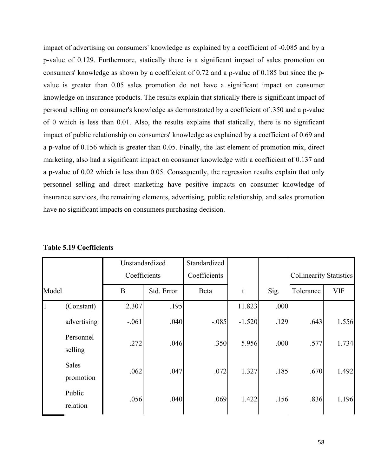impact of advertising on consumers' knowledge as explained by a coefficient of -0.085 and by a p-value of 0.129. Furthermore, statically there is a significant impact of sales promotion on consumers' knowledge as shown by a coefficient of 0.72 and a p-value of 0.185 but since the pvalue is greater than 0.05 sales promotion do not have a significant impact on consumer knowledge on insurance products. The results explain that statically there is significant impact of personal selling on consumer's knowledge as demonstrated by a coefficient of .350 and a p-value of 0 which is less than 0.01. Also, the results explains that statically, there is no significant impact of public relationship on consumers' knowledge as explained by a coefficient of 0.69 and a p-value of 0.156 which is greater than 0.05. Finally, the last element of promotion mix, direct marketing, also had a significant impact on consumer knowledge with a coefficient of 0.137 and a p-value of 0.02 which is less than 0.05. Consequently, the regression results explain that only personnel selling and direct marketing have positive impacts on consumer knowledge of insurance services, the remaining elements, advertising, public relationship, and sales promotion have no significant impacts on consumers purchasing decision.

|                            | Unstandardized |            | Standardized |          |      |                                |            |
|----------------------------|----------------|------------|--------------|----------|------|--------------------------------|------------|
|                            | Coefficients   |            | Coefficients |          |      | <b>Collinearity Statistics</b> |            |
| Model                      | B              | Std. Error | Beta         | t        | Sig. | Tolerance                      | <b>VIF</b> |
| $\mathbf{1}$<br>(Constant) | 2.307          | .195       |              | 11.823   | .000 |                                |            |
| advertising                | $-.061$        | .040       | $-.085$      | $-1.520$ | .129 | .643                           | 1.556      |
| Personnel<br>selling       | .272           | .046       | .350         | 5.956    | .000 | .577                           | 1.734      |
| Sales<br>promotion         | .062           | .047       | .072         | 1.327    | .185 | .670                           | 1.492      |
| Public<br>relation         | .056           | .040       | .069         | 1.422    | .156 | .836                           | 1.196      |

**Table 5.19 Coefficients**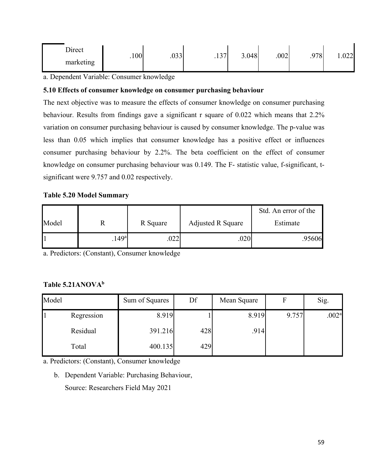| Direct    | .100 <sup>1</sup> | 000  | $\sqrt{7}$        | 3.048 | .002 | .978 <sup>1</sup> | 1.022 |
|-----------|-------------------|------|-------------------|-------|------|-------------------|-------|
| marketing |                   | .vjj | $\cdot$ . $\cdot$ |       |      |                   |       |

a. Dependent Variable: Consumer knowledge

# **5.10 Effects of consumer knowledge on consumer purchasing behaviour**

The next objective was to measure the effects of consumer knowledge on consumer purchasing behaviour. Results from findings gave a significant r square of 0.022 which means that 2.2% variation on consumer purchasing behaviour is caused by consumer knowledge. The p-value was less than 0.05 which implies that consumer knowledge has a positive effect or influences consumer purchasing behaviour by 2.2%. The beta coefficient on the effect of consumer knowledge on consumer purchasing behaviour was 0.149. The F- statistic value, f-significant, tsignificant were 9.757 and 0.02 respectively.

# **Table 5.20 Model Summary**

|       |                   |             |                          | Std. An error of the |
|-------|-------------------|-------------|--------------------------|----------------------|
| Model | n                 | R Square    | <b>Adjusted R Square</b> | Estimate             |
|       | .149 <sup>a</sup> | ררו<br>.UZZ | 020                      | .95606               |

a. Predictors: (Constant), Consumer knowledge

# **Table 5.21ANOVAb**

| Model |            | Sum of Squares | Df  | Mean Square |       | Sig.              |
|-------|------------|----------------|-----|-------------|-------|-------------------|
|       | Regression | 8.919          |     | 8.919       | 9.757 | .002 <sup>a</sup> |
|       | Residual   | 391.216        | 428 | .914        |       |                   |
|       | Total      | 400.135        | 429 |             |       |                   |

a. Predictors: (Constant), Consumer knowledge

b. Dependent Variable: Purchasing Behaviour, Source: Researchers Field May 2021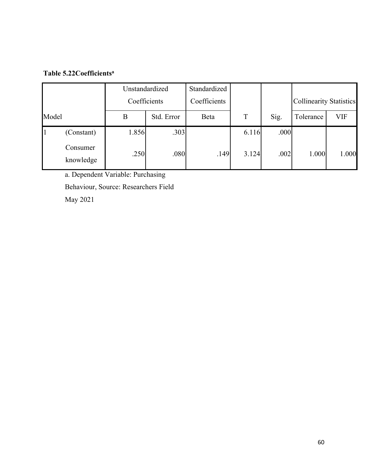# **Table 5.22Coefficientsa**

|                       |              | Unstandardized | Standardized |       |      |                                |       |
|-----------------------|--------------|----------------|--------------|-------|------|--------------------------------|-------|
|                       | Coefficients |                | Coefficients |       |      | <b>Collinearity Statistics</b> |       |
| Model                 | B            | Std. Error     | Beta         | T     | Sig. | Tolerance                      | VIF   |
| (Constant)            | 1.856        | .303           |              | 6.116 | .000 |                                |       |
| Consumer<br>knowledge | .250         | .080           | .149         | 3.124 | .002 | 1.000                          | 1.000 |

a. Dependent Variable: Purchasing Behaviour, Source: Researchers Field

May 2021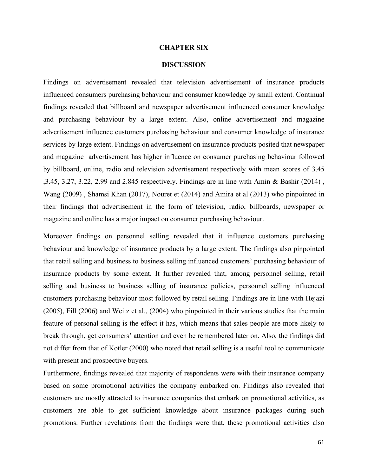#### **CHAPTER SIX**

#### **DISCUSSION**

Findings on advertisement revealed that television advertisement of insurance products influenced consumers purchasing behaviour and consumer knowledge by small extent. Continual findings revealed that billboard and newspaper advertisement influenced consumer knowledge and purchasing behaviour by a large extent. Also, online advertisement and magazine advertisement influence customers purchasing behaviour and consumer knowledge of insurance services by large extent. Findings on advertisement on insurance products posited that newspaper and magazine advertisement has higher influence on consumer purchasing behaviour followed by billboard, online, radio and television advertisement respectively with mean scores of 3.45 ,3.45, 3.27, 3.22, 2.99 and 2.845 respectively. Findings are in line with Amin & Bashir (2014) , Wang (2009) , Shamsi Khan (2017), Nouret et (2014) and Amira et al (2013) who pinpointed in their findings that advertisement in the form of television, radio, billboards, newspaper or magazine and online has a major impact on consumer purchasing behaviour.

Moreover findings on personnel selling revealed that it influence customers purchasing behaviour and knowledge of insurance products by a large extent. The findings also pinpointed that retail selling and business to business selling influenced customers' purchasing behaviour of insurance products by some extent. It further revealed that, among personnel selling, retail selling and business to business selling of insurance policies, personnel selling influenced customers purchasing behaviour most followed by retail selling. Findings are in line with Hejazi (2005), Fill (2006) and Weitz et al., (2004) who pinpointed in their various studies that the main feature of personal selling is the effect it has, which means that sales people are more likely to break through, get consumers' attention and even be remembered later on. Also, the findings did not differ from that of Kotler (2000) who noted that retail selling is a useful tool to communicate with present and prospective buyers.

Furthermore, findings revealed that majority of respondents were with their insurance company based on some promotional activities the company embarked on. Findings also revealed that customers are mostly attracted to insurance companies that embark on promotional activities, as customers are able to get sufficient knowledge about insurance packages during such promotions. Further revelations from the findings were that, these promotional activities also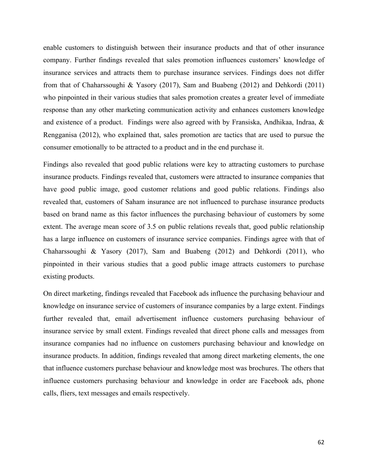enable customers to distinguish between their insurance products and that of other insurance company. Further findings revealed that sales promotion influences customers' knowledge of insurance services and attracts them to purchase insurance services. Findings does not differ from that of Chaharssoughi & Yasory (2017), Sam and Buabeng (2012) and Dehkordi (2011) who pinpointed in their various studies that sales promotion creates a greater level of immediate response than any other marketing communication activity and enhances customers knowledge and existence of a product. Findings were also agreed with by Fransiska, Andhikaa, Indraa, & Rengganisa (2012), who explained that, sales promotion are tactics that are used to pursue the consumer emotionally to be attracted to a product and in the end purchase it.

Findings also revealed that good public relations were key to attracting customers to purchase insurance products. Findings revealed that, customers were attracted to insurance companies that have good public image, good customer relations and good public relations. Findings also revealed that, customers of Saham insurance are not influenced to purchase insurance products based on brand name as this factor influences the purchasing behaviour of customers by some extent. The average mean score of 3.5 on public relations reveals that, good public relationship has a large influence on customers of insurance service companies. Findings agree with that of Chaharssoughi & Yasory (2017), Sam and Buabeng (2012) and Dehkordi (2011), who pinpointed in their various studies that a good public image attracts customers to purchase existing products.

On direct marketing, findings revealed that Facebook ads influence the purchasing behaviour and knowledge on insurance service of customers of insurance companies by a large extent. Findings further revealed that, email advertisement influence customers purchasing behaviour of insurance service by small extent. Findings revealed that direct phone calls and messages from insurance companies had no influence on customers purchasing behaviour and knowledge on insurance products. In addition, findings revealed that among direct marketing elements, the one that influence customers purchase behaviour and knowledge most was brochures. The others that influence customers purchasing behaviour and knowledge in order are Facebook ads, phone calls, fliers, text messages and emails respectively.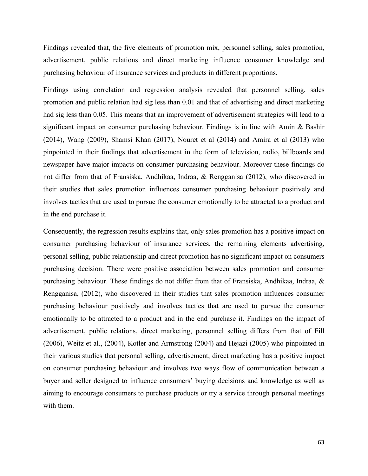Findings revealed that, the five elements of promotion mix, personnel selling, sales promotion, advertisement, public relations and direct marketing influence consumer knowledge and purchasing behaviour of insurance services and products in different proportions.

Findings using correlation and regression analysis revealed that personnel selling, sales promotion and public relation had sig less than 0.01 and that of advertising and direct marketing had sig less than 0.05. This means that an improvement of advertisement strategies will lead to a significant impact on consumer purchasing behaviour. Findings is in line with Amin & Bashir (2014), Wang (2009), Shamsi Khan (2017), Nouret et al (2014) and Amira et al (2013) who pinpointed in their findings that advertisement in the form of television, radio, billboards and newspaper have major impacts on consumer purchasing behaviour. Moreover these findings do not differ from that of Fransiska, Andhikaa, Indraa, & Rengganisa (2012), who discovered in their studies that sales promotion influences consumer purchasing behaviour positively and involves tactics that are used to pursue the consumer emotionally to be attracted to a product and in the end purchase it.

Consequently, the regression results explains that, only sales promotion has a positive impact on consumer purchasing behaviour of insurance services, the remaining elements advertising, personal selling, public relationship and direct promotion has no significant impact on consumers purchasing decision. There were positive association between sales promotion and consumer purchasing behaviour. These findings do not differ from that of Fransiska, Andhikaa, Indraa, & Rengganisa, (2012), who discovered in their studies that sales promotion influences consumer purchasing behaviour positively and involves tactics that are used to pursue the consumer emotionally to be attracted to a product and in the end purchase it. Findings on the impact of advertisement, public relations, direct marketing, personnel selling differs from that of Fill (2006), Weitz et al., (2004), Kotler and Armstrong (2004) and Hejazi (2005) who pinpointed in their various studies that personal selling, advertisement, direct marketing has a positive impact on consumer purchasing behaviour and involves two ways flow of communication between a buyer and seller designed to influence consumers' buying decisions and knowledge as well as aiming to encourage consumers to purchase products or try a service through personal meetings with them.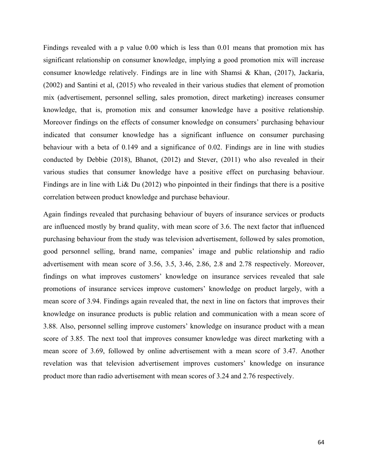Findings revealed with a p value 0.00 which is less than 0.01 means that promotion mix has significant relationship on consumer knowledge, implying a good promotion mix will increase consumer knowledge relatively. Findings are in line with Shamsi & Khan, (2017), Jackaria, (2002) and Santini et al, (2015) who revealed in their various studies that element of promotion mix (advertisement, personnel selling, sales promotion, direct marketing) increases consumer knowledge, that is, promotion mix and consumer knowledge have a positive relationship. Moreover findings on the effects of consumer knowledge on consumers' purchasing behaviour indicated that consumer knowledge has a significant influence on consumer purchasing behaviour with a beta of 0.149 and a significance of 0.02. Findings are in line with studies conducted by Debbie (2018), Bhanot, (2012) and Stever, (2011) who also revealed in their various studies that consumer knowledge have a positive effect on purchasing behaviour. Findings are in line with Li& Du (2012) who pinpointed in their findings that there is a positive correlation between product knowledge and purchase behaviour.

Again findings revealed that purchasing behaviour of buyers of insurance services or products are influenced mostly by brand quality, with mean score of 3.6. The next factor that influenced purchasing behaviour from the study was television advertisement, followed by sales promotion, good personnel selling, brand name, companies' image and public relationship and radio advertisement with mean score of 3.56, 3.5, 3.46, 2.86, 2.8 and 2.78 respectively. Moreover, findings on what improves customers' knowledge on insurance services revealed that sale promotions of insurance services improve customers' knowledge on product largely, with a mean score of 3.94. Findings again revealed that, the next in line on factors that improves their knowledge on insurance products is public relation and communication with a mean score of 3.88. Also, personnel selling improve customers' knowledge on insurance product with a mean score of 3.85. The next tool that improves consumer knowledge was direct marketing with a mean score of 3.69, followed by online advertisement with a mean score of 3.47. Another revelation was that television advertisement improves customers' knowledge on insurance product more than radio advertisement with mean scores of 3.24 and 2.76 respectively.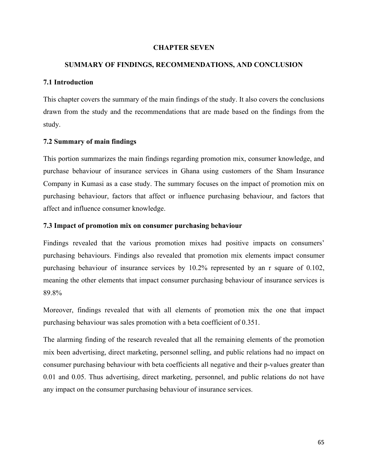# **CHAPTER SEVEN**

### **SUMMARY OF FINDINGS, RECOMMENDATIONS, AND CONCLUSION**

# **7.1 Introduction**

This chapter covers the summary of the main findings of the study. It also covers the conclusions drawn from the study and the recommendations that are made based on the findings from the study.

### **7.2 Summary of main findings**

This portion summarizes the main findings regarding promotion mix, consumer knowledge, and purchase behaviour of insurance services in Ghana using customers of the Sham Insurance Company in Kumasi as a case study. The summary focuses on the impact of promotion mix on purchasing behaviour, factors that affect or influence purchasing behaviour, and factors that affect and influence consumer knowledge.

# **7.3 Impact of promotion mix on consumer purchasing behaviour**

Findings revealed that the various promotion mixes had positive impacts on consumers' purchasing behaviours. Findings also revealed that promotion mix elements impact consumer purchasing behaviour of insurance services by 10.2% represented by an r square of 0.102, meaning the other elements that impact consumer purchasing behaviour of insurance services is 89.8%

Moreover, findings revealed that with all elements of promotion mix the one that impact purchasing behaviour was sales promotion with a beta coefficient of 0.351.

The alarming finding of the research revealed that all the remaining elements of the promotion mix been advertising, direct marketing, personnel selling, and public relations had no impact on consumer purchasing behaviour with beta coefficients all negative and their p-values greater than 0.01 and 0.05. Thus advertising, direct marketing, personnel, and public relations do not have any impact on the consumer purchasing behaviour of insurance services.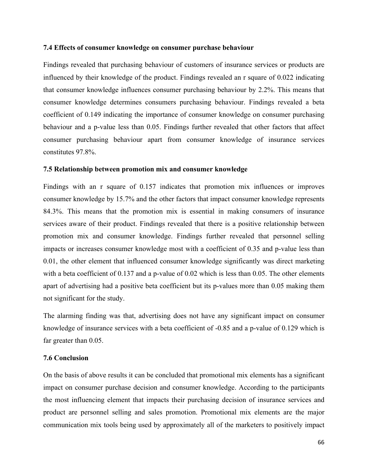#### **7.4 Effects of consumer knowledge on consumer purchase behaviour**

Findings revealed that purchasing behaviour of customers of insurance services or products are influenced by their knowledge of the product. Findings revealed an r square of 0.022 indicating that consumer knowledge influences consumer purchasing behaviour by 2.2%. This means that consumer knowledge determines consumers purchasing behaviour. Findings revealed a beta coefficient of 0.149 indicating the importance of consumer knowledge on consumer purchasing behaviour and a p-value less than 0.05. Findings further revealed that other factors that affect consumer purchasing behaviour apart from consumer knowledge of insurance services constitutes 97.8%.

### **7.5 Relationship between promotion mix and consumer knowledge**

Findings with an r square of 0.157 indicates that promotion mix influences or improves consumer knowledge by 15.7% and the other factors that impact consumer knowledge represents 84.3%. This means that the promotion mix is essential in making consumers of insurance services aware of their product. Findings revealed that there is a positive relationship between promotion mix and consumer knowledge. Findings further revealed that personnel selling impacts or increases consumer knowledge most with a coefficient of 0.35 and p-value less than 0.01, the other element that influenced consumer knowledge significantly was direct marketing with a beta coefficient of 0.137 and a p-value of 0.02 which is less than 0.05. The other elements apart of advertising had a positive beta coefficient but its p-values more than 0.05 making them not significant for the study.

The alarming finding was that, advertising does not have any significant impact on consumer knowledge of insurance services with a beta coefficient of -0.85 and a p-value of 0.129 which is far greater than 0.05.

# **7.6 Conclusion**

On the basis of above results it can be concluded that promotional mix elements has a significant impact on consumer purchase decision and consumer knowledge. According to the participants the most influencing element that impacts their purchasing decision of insurance services and product are personnel selling and sales promotion. Promotional mix elements are the major communication mix tools being used by approximately all of the marketers to positively impact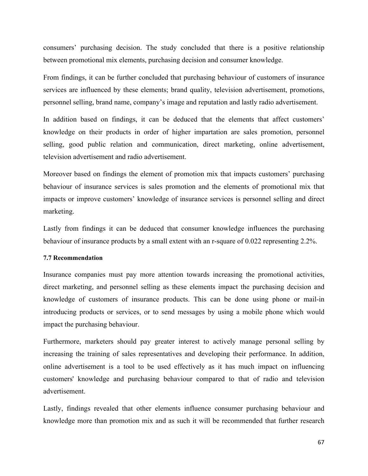consumers' purchasing decision. The study concluded that there is a positive relationship between promotional mix elements, purchasing decision and consumer knowledge.

From findings, it can be further concluded that purchasing behaviour of customers of insurance services are influenced by these elements; brand quality, television advertisement, promotions, personnel selling, brand name, company's image and reputation and lastly radio advertisement.

In addition based on findings, it can be deduced that the elements that affect customers' knowledge on their products in order of higher impartation are sales promotion, personnel selling, good public relation and communication, direct marketing, online advertisement, television advertisement and radio advertisement.

Moreover based on findings the element of promotion mix that impacts customers' purchasing behaviour of insurance services is sales promotion and the elements of promotional mix that impacts or improve customers' knowledge of insurance services is personnel selling and direct marketing.

Lastly from findings it can be deduced that consumer knowledge influences the purchasing behaviour of insurance products by a small extent with an r-square of 0.022 representing 2.2%.

### **7.7 Recommendation**

Insurance companies must pay more attention towards increasing the promotional activities, direct marketing, and personnel selling as these elements impact the purchasing decision and knowledge of customers of insurance products. This can be done using phone or mail-in introducing products or services, or to send messages by using a mobile phone which would impact the purchasing behaviour.

Furthermore, marketers should pay greater interest to actively manage personal selling by increasing the training of sales representatives and developing their performance. In addition, online advertisement is a tool to be used effectively as it has much impact on influencing customers' knowledge and purchasing behaviour compared to that of radio and television advertisement.

Lastly, findings revealed that other elements influence consumer purchasing behaviour and knowledge more than promotion mix and as such it will be recommended that further research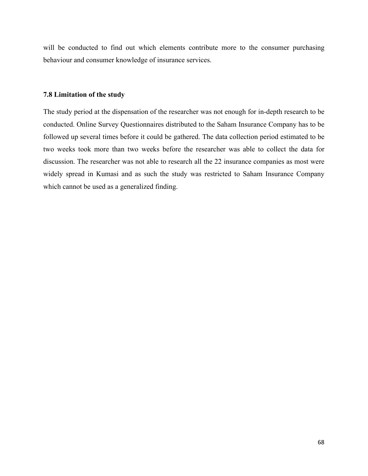will be conducted to find out which elements contribute more to the consumer purchasing behaviour and consumer knowledge of insurance services.

### **7.8 Limitation of the study**

The study period at the dispensation of the researcher was not enough for in-depth research to be conducted. Online Survey Questionnaires distributed to the Saham Insurance Company has to be followed up several times before it could be gathered. The data collection period estimated to be two weeks took more than two weeks before the researcher was able to collect the data for discussion. The researcher was not able to research all the 22 insurance companies as most were widely spread in Kumasi and as such the study was restricted to Saham Insurance Company which cannot be used as a generalized finding.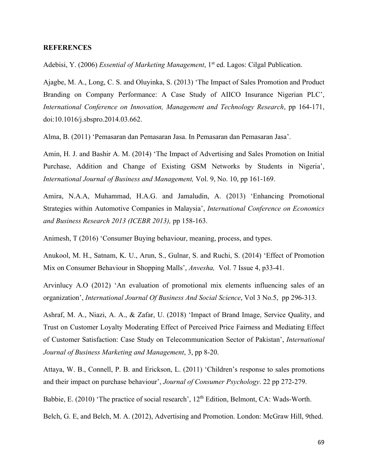# **REFERENCES**

Adebisi, Y. (2006) *Essential of Marketing Management*, 1st ed. Lagos: Cilgal Publication.

Ajagbe, M. A., Long, C. S. and Oluyinka, S. (2013) 'The Impact of Sales Promotion and Product Branding on Company Performance: A Case Study of AIICO Insurance Nigerian PLC', *International Conference on Innovation, Management and Technology Research*, pp 164-171, doi:10.1016/j.sbspro.2014.03.662.

Alma, B. (2011) 'Pemasaran dan Pemasaran Jasa. In Pemasaran dan Pemasaran Jasa'.

Amin, H. J. and Bashir A. M. (2014) 'The Impact of Advertising and Sales Promotion on Initial Purchase, Addition and Change of Existing GSM Networks by Students in Nigeria', *International Journal of Business and Management,* Vol. 9, No. 10, pp 161-169.

Amira, N.A.A, Muhammad, H.A.G. and Jamaludin, A. (2013) 'Enhancing Promotional Strategies within Automotive Companies in Malaysia', *International Conference on Economics and Business Research 2013 (ICEBR 2013),* pp 158-163.

Animesh, T (2016) 'Consumer Buying behaviour, meaning, process, and types.

Anukool, M. H., Satnam, K. U., Arun, S., Gulnar, S. and Ruchi, S. (2014) 'Effect of Promotion Mix on Consumer Behaviour in Shopping Malls', *Anvesha,* Vol. 7 Issue 4, p33-41.

Arvinlucy A.O (2012) 'An evaluation of promotional mix elements influencing sales of an organization', *International Journal Of Business And Social Science*, Vol 3 No.5, pp 296-313.

Ashraf, M. A., Niazi, A. A., & Zafar, U. (2018) 'Impact of Brand Image, Service Quality, and Trust on Customer Loyalty Moderating Effect of Perceived Price Fairness and Mediating Effect of Customer Satisfaction: Case Study on Telecommunication Sector of Pakistan', *International Journal of Business Marketing and Management*, 3, pp 8-20.

Attaya, W. B., Connell, P. B. and Erickson, L. (2011) 'Children's response to sales promotions and their impact on purchase behaviour', *Journal of Consumer Psychology*. 22 pp 272-279.

Babbie, E. (2010) 'The practice of social research', 12<sup>th</sup> Edition, Belmont, CA: Wads-Worth.

Belch, G. E, and Belch, M. A. (2012), Advertising and Promotion. London: McGraw Hill, 9thed.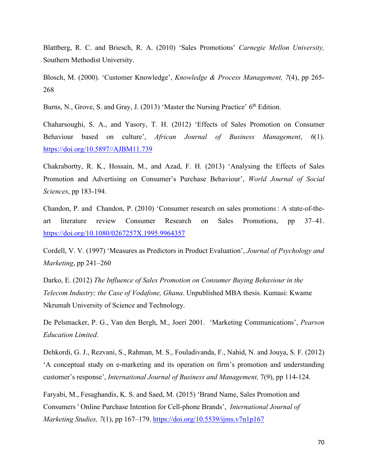Blattberg, R. C. and Briesch, R. A. (2010) 'Sales Promotions' *Carnegie Mellon University,* Southern Methodist University.

Blosch, M. (2000). 'Customer Knowledge', *Knowledge & Process Management, 7*(4), pp 265- 268

Burns, N., Grove, S. and Gray, J. (2013) 'Master the Nursing Practice' 6<sup>th</sup> Edition.

Chaharsoughi, S. A., and Yasory, T. H. (2012) 'Effects of Sales Promotion on Consumer Behaviour based on culture', *African Journal of Business Management*, *6*(1). [https://doi.org/10.5897//AJBM11.739](https://doi.org/10.5897/AJBM11.739)

Chakrabortty, R. K., Hossain, M., and Azad, F. H. (2013) 'Analysing the Effects of Sales Promotion and Advertising on Consumer's Purchase Behaviour', *World Journal of Social Sciences*, pp 183-194.

Chandon, P. and Chandon, P. (2010) 'Consumer research on sales promotions : A state-of-theart literature review Consumer Research on Sales Promotions, pp 37–41. <https://doi.org/10.1080/0267257X.1995.9964357>

Cordell, V. V. (1997) 'Measures as Predictors in Product Evaluation', *Journal of Psychology and Marketing*, pp 241–260

Darko, E. (2012) *The Influence of Sales Promotion on Consumer Buying Behaviour in the Telecom Industry; the Case of Vodafone, Ghana*. Unpublished MBA thesis. Kumasi: Kwame Nkrumah University of Science and Technology.

De Pelsmacker, P. G., Van den Bergh, M., Joeri 2001. 'Marketing Communications', *Pearson Education Limited*.

Dehkordi, G. J., Rezvani, S., Rahman, M. S., Fouladivanda, F., Nahid, N. and Jouya, S. F. (2012) 'A conceptual study on e-marketing and its operation on firm's promotion and understanding customer's response', *International Journal of Business and Management,* 7(9), pp 114-124.

Faryabi, M., Fesaghandis, K. S. and Saed, M. (2015) 'Brand Name, Sales Promotion and Consumers ' Online Purchase Intention for Cell-phone Brands', *International Journal of Marketing Studies, 7*(1), pp 167–179.<https://doi.org/10.5539/ijms.v7n1p167>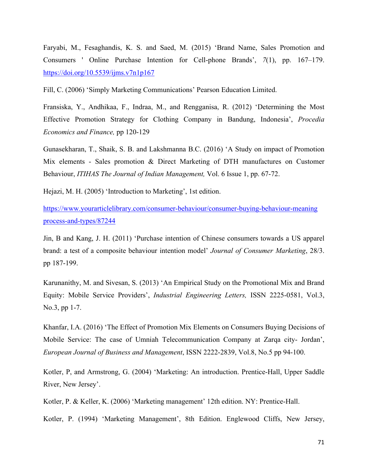Faryabi, M., Fesaghandis, K. S. and Saed, M. (2015) 'Brand Name, Sales Promotion and Consumers ' Online Purchase Intention for Cell-phone Brands', *7*(1), pp. 167–179. <https://doi.org/10.5539/ijms.v7n1p167>

Fill, C. (2006) 'Simply Marketing Communications' Pearson Education Limited.

Fransiska, Y., Andhikaa, F., Indraa, M., and Rengganisa, R. (2012) 'Determining the Most Effective Promotion Strategy for Clothing Company in Bandung, Indonesia', *Procedia Economics and Finance,* pp 120-129

Gunasekharan, T., Shaik, S. B. and Lakshmanna B.C. (2016) 'A Study on impact of Promotion Mix elements - Sales promotion & Direct Marketing of DTH manufactures on Customer Behaviour, *ITIHAS The Journal of Indian Management,* Vol. 6 Issue 1, pp. 67-72.

Hejazi, M. H. (2005) 'Introduction to Marketing', 1st edition.

[https://www.yourarticlelibrary.com/consumer-behaviour/consumer-buying-behaviour-meaning](https://www.yourarticlelibrary.com/consumer-behaviour/consumer-buying-behaviour-meaning%20process-and-types/87244)  [process-and-types/87244](https://www.yourarticlelibrary.com/consumer-behaviour/consumer-buying-behaviour-meaning%20process-and-types/87244)

Jin, B and Kang, J. H. (2011) 'Purchase intention of Chinese consumers towards a US apparel brand: a test of a composite behaviour intention model' *Journal of Consumer Marketing*, 28/3. pp 187-199.

Karunanithy, M. and Sivesan, S. (2013) 'An Empirical Study on the Promotional Mix and Brand Equity: Mobile Service Providers', *Industrial Engineering Letters,* ISSN 2225-0581, Vol.3, No.3, pp 1-7.

Khanfar, I.A. (2016) 'The Effect of Promotion Mix Elements on Consumers Buying Decisions of Mobile Service: The case of Umniah Telecommunication Company at Zarqa city- Jordan', *European Journal of Business and Management*, ISSN 2222-2839, Vol.8, No.5 pp 94-100.

Kotler, P, and Armstrong, G. (2004) 'Marketing: An introduction. Prentice-Hall, Upper Saddle River, New Jersey'.

Kotler, P. & Keller, K. (2006) 'Marketing management' 12th edition. NY: Prentice-Hall.

Kotler, P. (1994) 'Marketing Management', 8th Edition. Englewood Cliffs, New Jersey,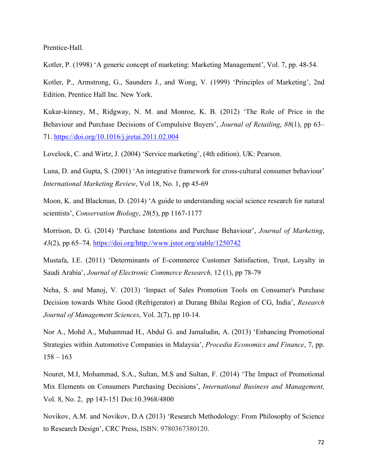Prentice-Hall.

Kotler, P. (1998) 'A generic concept of marketing: Marketing Management', Vol. 7, pp. 48-54.

Kotler, P., Armstrong, G., Saunders J., and Wong, V. (1999) 'Principles of Marketing', 2nd Edition. Prentice Hall Inc. New York.

Kukar-kinney, M., Ridgway, N. M. and Monroe, K. B. (2012) 'The Role of Price in the Behaviour and Purchase Decisions of Compulsive Buyers', *Journal of Retailing*, *88*(1), pp 63– 71.<https://doi.org/10.1016/j.jretai.2011.02.004>

Lovelock, C. and Wirtz, J. (2004) 'Service marketing', (4th edition). UK: Pearson.

Luna, D. and Gupta, S. (2001) 'An integrative framework for cross-cultural consumer behaviour' *International Marketing Review*, Vol 18, No. 1, pp 45-69

Moon, K. and Blackman, D. (2014) 'A guide to understanding social science research for natural scientists', *Conservation Biology*, *28*(5), pp 1167-1177

Morrison, D. G. (2014) 'Purchase Intentions and Purchase Behaviour', *Journal of Marketing*, *43*(2), pp 65–74. [https://doi.org/http://www.jstor.org/stable/1250742](https://doi.org/http:/www.jstor.org/stable/1250742)

Mustafa, I.E. (2011) 'Determinants of E-commerce Customer Satisfaction, Trust, Loyalty in Saudi Arabia', *Journal of Electronic Commerce Research,* 12 (1), pp 78-79

Neha, S. and Manoj, V. (2013) 'Impact of Sales Promotion Tools on Consumer's Purchase Decision towards White Good (Refrigerator) at Durang Bhilai Region of CG, India', *Research Journal of Management Sciences*, Vol. 2(7), pp 10-14.

Nor A., Mohd A., Muhammad H., Abdul G. and Jamaludin, A. (2013) 'Enhancing Promotional Strategies within Automotive Companies in Malaysia', *Procedia Economics and Finance*, 7, pp.  $158 - 163$ 

Nouret, M.I, Mohammad, S.A., Sultan, M.S and Sultan, F. (2014) 'The Impact of Promotional Mix Elements on Consumers Purchasing Decisions', *International Business and Management,* Vol. 8, No. 2, pp 143-151 Doi:10.3968/4800

Novikov, A.M. and Novikov, D.A (2013) 'Research Methodology: From Philosophy of Science to Research Design', CRC Press, ISBN: 9780367380120.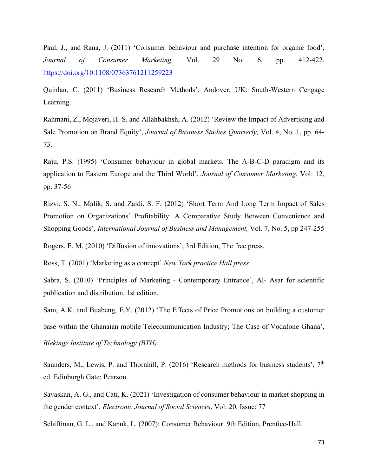Paul, J., and Rana, J. (2011) 'Consumer behaviour and purchase intention for organic food', *[Journal of Consumer Marketing,](https://www.emerald.com/insight/publication/issn/0736-3761)* Vol. 29 No. 6, pp. 412-422. <https://doi.org/10.1108/07363761211259223>

Quinlan, C. (2011) 'Business Research Methods', Andover, UK: South-Western Cengage Learning.

Rahmani, Z., Mojaveri, H. S. and Allahbakhsh, A. (2012) 'Review the Impact of Advertising and Sale Promotion on Brand Equity', *Journal of Business Studies Quarterly,* Vol. 4, No. 1, pp. 64- 73.

Raju, P.S. (1995) 'Consumer behaviour in global markets. The A-B-C-D paradigm and its application to Eastern Europe and the Third World', *Journal of Consumer Marketing*, Vol: 12, pp. 37-56

Rizvi, S. N., Malik, S. and Zaidi, S. F. (2012) 'Short Term And Long Term Impact of Sales Promotion on Organizations' Profitability: A Comparative Study Between Convenience and Shopping Goods', *International Journal of Business and Management,* Vol. 7, No. 5, pp 247-255

Rogers, E. M. (2010) 'Diffusion of innovations', 3rd Edition, The free press.

Ross, T. (2001) 'Marketing as a concept' *New York practice Hall press*.

Sabra, S. (2010) 'Principles of Marketing - Contemporary Entrance', Al- Asar for scientific publication and distribution. 1st edition.

Sam, A.K. and Buabeng, E.Y. (2012) 'The Effects of Price Promotions on building a customer base within the Ghanaian mobile Telecommunication Industry; The Case of Vodafone Ghana', *Blekinge Institute of Technology (BTH)*.

Saunders, M., Lewis, P. and Thornhill, P. (2016) 'Research methods for business students',  $7<sup>th</sup>$ ed. Edinburgh Gate: Pearson.

Savaskan, A. G., and Cati, K. (2021) 'Investigation of consumer behaviour in market shopping in the gender context', *Electronic Journal of Social Sciences*, Vol: 20, Issue: 77

Schiffman, G. L., and Kanuk, L. (2007): Consumer Behaviour. 9th Edition, Prentice-Hall.